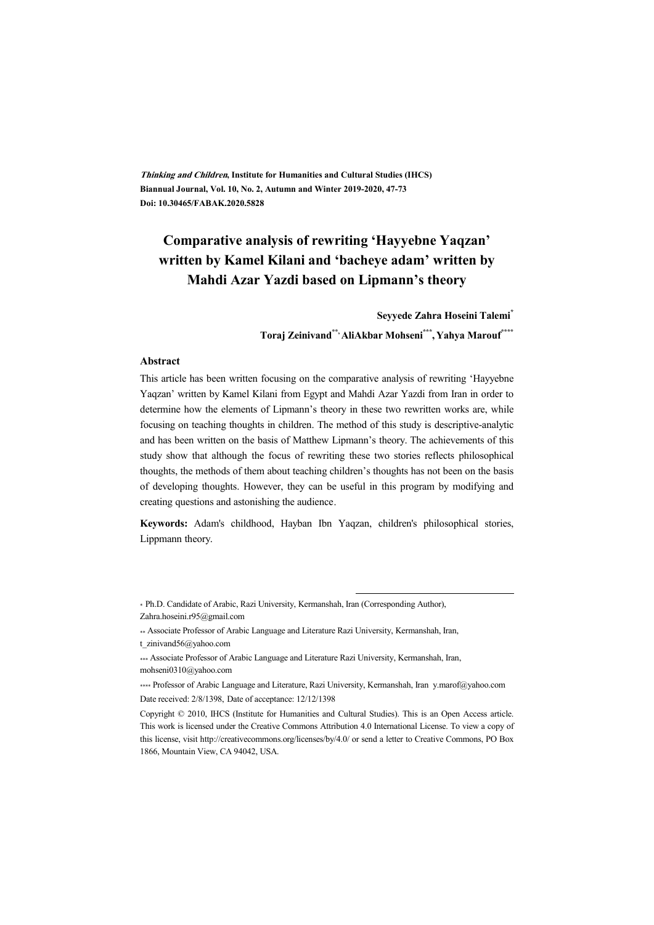**Thinking and Children, Institute for Humanities and Cultural Studies (IHCS) Biannual Journal, Vol. 10, No. 2, Autumn and Winter 2019-2020, 47-73 Doi: 10.30465/FABAK.2020.5828** 

# **Comparative analysis of rewriting 'Hayyebne Yaqzan' written by Kamel Kilani and 'bacheye adam' written by Mahdi Azar Yazdi based on Lipmann's theory**

#### **Seyyede Zahra Hoseini Talemi\***

**Toraj Zeinivand\*\*, AliAkbar Mohseni\*\*\* ,Yahya Marouf\*\*\*\***

#### **Abstract**

This article has been written focusing on the comparative analysis of rewriting 'Hayyebne Yaqzan' written by Kamel Kilani from Egypt and Mahdi Azar Yazdi from Iran in order to determine how the elements of Lipmann's theory in these two rewritten works are, while focusing on teaching thoughts in children. The method of this study is descriptive-analytic and has been written on the basis of Matthew Lipmann's theory. The achievements of this study show that although the focus of rewriting these two stories reflects philosophical thoughts, the methods of them about teaching children's thoughts has not been on the basis of developing thoughts. However, they can be useful in this program by modifying and creating questions and astonishing the audience.

**Keywords:** Adam's childhood, Hayban Ibn Yaqzan, children's philosophical stories, Lippmann theory.

:

<sup>\*</sup> Ph.D. Candidate of Arabic, Razi University, Kermanshah, Iran (Corresponding Author), Zahra.hoseini.r95@gmail.com

<sup>\*\*</sup> Associate Professor of Arabic Language and Literature Razi University, Kermanshah, Iran, t\_zinivand56@yahoo.com

<sup>\*\*\*</sup> Associate Professor of Arabic Language and Literature Razi University, Kermanshah, Iran, mohseni0310@yahoo.com

<sup>\*\*\*\*</sup> Professor of Arabic Language and Literature, Razi University, Kermanshah, Iran y.marof@yahoo.com Date received: 2/8/1398, Date of acceptance: 12/12/1398

Copyright © 2010, IHCS (Institute for Humanities and Cultural Studies). This is an Open Access article. This work is licensed under the Creative Commons Attribution 4.0 International License. To view a copy of this license, visit http://creativecommons.org/licenses/by/4.0/ or send a letter to Creative Commons, PO Box 1866, Mountain View, CA 94042, USA.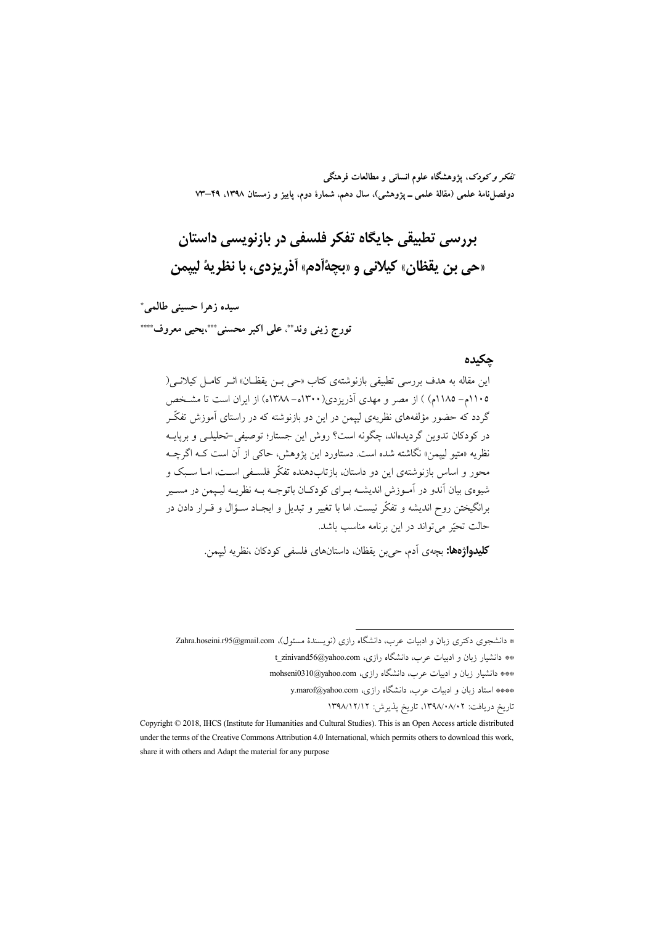تفکر و کودک، یژوهشگاه علوم انسانی و مطالعات فرهنگی دوفصلiاه علمی (مقالهٔ علمی ــ پژوهشی)، سال دهم، شمارهٔ دوم، پاییز و زمستان ۱۳۹۸، ۲۹–۷۳

بررسي تطبيقي جايگاه تفكر فلسفي در بازنويسي داستان «حي بن يقظان» كيلاني و «بجةأدم» أذريزدي، با نظرية لييمن

سيده زهرا حسيني طالمي\* تورج زيني وند""، على اكبر محسني""،يحيى معروف"""

#### حكىدە

این مقاله به هدف بررسی تطبیقی بازنوشتهی کتاب «حی بـن یقظــان» اثــر کامــل کیلانــی( ۱۱۰۵م- ۱۱۸۵م) ) از مصر و مهدی آذریزدی(۱۳۰۰ه- ۱۳۸۸ه) از ایران است تا مشخص گردد که حضور مؤلفههای نظریهی لبیمن در این دو بازنوشته که در راستای آموزش تفکّر در کودکان تدوین گردیدهاند، چگونه است؟ روش این جستار؛ توصیفی –تحلیلے و برپایـه نظريه «متيو لييمن» نگاشته شده است. دستاورد اين يژوهش، حاكي از آن است كــه اگرچــه محور و اساس بازنوشتهی این دو داستان، بازتابدهنده تفکّر فلسـفی اسـت، امـا سـبک و شیوهی بیان آندو در آمـوزش اندیشـه بـرای کودکـان باتوجـه بـه نظریـه لیـیمن در مسـیر برانگیختن روح اندیشه و تفکّر نیست. اما با تغییر و تبدیل و ایجـاد ســؤال و قــرار دادن در حالت تحيّر مي تواند در اين برنامه مناسب باشد.

**كليدواژهها:** بچەي آدم، حي بن يقظان، داستانهاي فلسفى كودكان ،نظريه لييمن.

<sup>\*</sup> دانشجوی دکتری زبان و ادبیات عرب، دانشگاه رازی (نویسندهٔ مسئول)، Zahra.hoseini.r95@gmail.com

<sup>\*\*</sup> دانشبار زبان و ادبیات عرب، دانشگاه رازی، t zinivand56@yahoo.com

<sup>\*\*\*</sup> دانشیار زبان و ادبیات عرب، دانشگاه رازی، mohseni0310@yahoo.com

<sup>\*\*\*\*</sup> استاد زبان و ادبیات عرب، دانشگاه رازی، y.marof@yahoo.com

تاريخ دريافت: ۰۸/۰۸/۰۲، تاريخ پذيرش: ۱۳۹۸/۱۲/۱۲

Copyright © 2018, IHCS (Institute for Humanities and Cultural Studies). This is an Open Access article distributed under the terms of the Creative Commons Attribution 4.0 International, which permits others to download this work, share it with others and Adapt the material for any purpose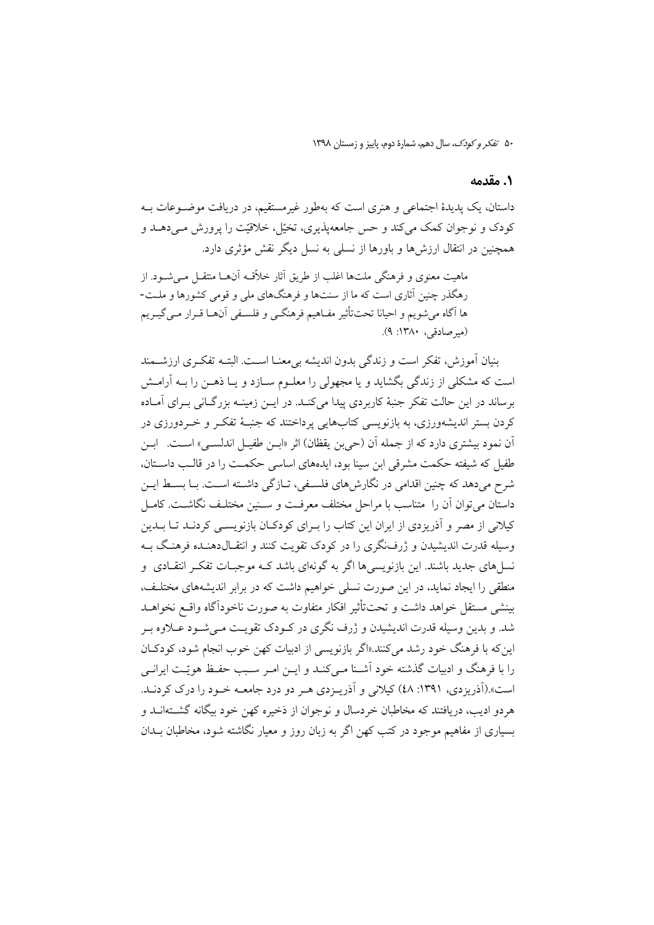#### 1. مقدمه

داستان، یک پدیدهٔ اجتماعی و هنری است که بهطور غیرمستقیم، در دریافت موضـوعات بـه کودک و نوجوان کمک میکند و حس جامعهپذیری، تخیّل، خلاقیّت را پرورش مـیدهــد و همچنین در انتقال ارزشها و باورها از نسلی به نسل دیگر نقش مؤثری دارد.

ماهیت معنوی و فرهنگی ملتها اغلب از طریق آثار خلاّقه آنهـا منتقـل مـی شــود. از رهگذر چنین آثاری است که ما از سنتها و فرهنگهای ملی و قومی کشورها و ملت-ها آگاه میشویم و احیانا تحت $\vec{z}$ اثیر مفـاهیم فرهنگـی و فلسـفی آنهـا قــرار مـیگیــریم (میر صادقی، ۱۳۸۰: ۹).

بنيان آموزش، تفكر است و زندگي بدون انديشه بي معنــا اســت. البتــه تفكــرى ارزشـــمند است که مشکلی از زندگی بگشاید و یا مجهولی را معلـوم سـازد و یـا ذهـن را بــه آرامـش برساند در این حالت تفکر جنبهٔ کاربردی پیدا میکند. در ایـن زمینـه بزرگــانی بـرای آمــاده کردن بستر اندیشهورزی، به بازنویسی کتابهایی پرداختند که جنبـهٔ تفکـر و خـردورزی در اّن نمود بیشتری دارد که از جمله اّن (حیبن یقظان) اثر «ابــن طفیــل اندلســی» اســت. ابــن طفیل که شیفته حکمت مشرقی ابن سینا بود، ایدههای اساسی حکمـت را در قالـب داسـتان، شرح میدهد که چنین اقدامی در نگارشهای فلسـفی، تـازگی داشـته اسـت. بـا بسـط ایـن داستان میتوان آن را متناسب با مراحل مختلف معرفت و سـنين مختلـف نگاشـت. كامـل کیلانی از مصر و آذریزدی از ایران این کتاب را بـرای کودکـان بازنویســی کردنــد تــا بــدین وسیله قدرت اندیشیدن و ژرفنگری را در کودک تقویت کنند و انتقـالدهنـده فرهنـگ بـه نسلهای جدید باشند. این بازنویسیها اگر به گونهای باشد کـه موجبـات تفکـر انتقـادی ًو منطقی را ایجاد نماید، در این صورت نسلی خواهیم داشت که در برابر اندیشههای مختلف، بینشی مستقل خواهد داشت و تحتتأثیر افکار متفاوت به صورت ناخودآگاه واقــع نخواهــد شد. و بدین وسیله قدرت اندیشیدن و ژرف نگری در کـودک تقویـت مـیشـود عـلاوه بـر این که با فرهنگ خود رشد می کنند.«اگر بازنویسی از ادبیات کهن خوب انجام شود، کودکـان را یا فرهنگ و ادبیات گذشته خود آشـنا مـه کنـد و ایـن امـر سـب حفـظ هوئـت ایرانـی است».(آذریزدی، ۱۳۹۱: ٤٨) کیلانی و آذریـزدی هـر دو درد جامعــه خــود را درک کردنــد. هردو ادیب، دریافتند که مخاطبان خردسال و نوجوان از ذخیره کهن خود بیگانه گشتهانید و بسیاری از مفاهیم موجود در کتب کهن اگر به زبان روز و معبار نگاشته شود، مخاطبان بـدان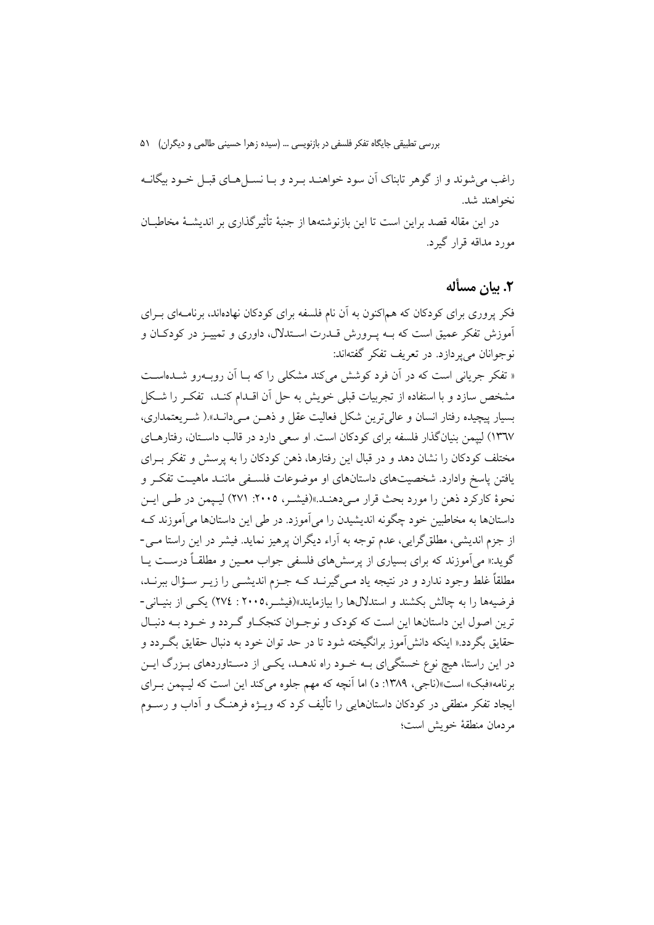راغب می شوند و از گوهر تابناک آن سود خواهنـد بـرد و بـا نســا هـای قبــا خــود بیگانــه نخواهند شد.

در این مقاله قصد براین است تا این بازنوشتهها از جنبهٔ تأثیر گذاری بر اندیشــهٔ مخاطبــان مورد مداقه قرار گېرد.

### ٢. بيان مسأله

فکر پروری برای کودکان که هماکنون به آن نام فلسفه برای کودکان نهادهاند، برنامـهای بــرای آموزش تفکر عمیق است که بــه پــرورش قــدرت اســتدلال، داوری و تمییــز در کودکــان و نو جو آنان مي پر دازد. در تعريف تفكر گفتهاند:

« تفكر جرياني است كه در آن فرد كوشش مي كند مشكلي را كه بــا آن روبــهرو شـــدهاســت مشخص سازد و با استفاده از تجربیات قبلی خویش به حل آن اقــدام کنــد، تفکـر را شــکل بسيار پيچيده رفتار انسان و عال<sub>ى</sub>ترين شكل فعاليت عقل و ذهــن مــي(دانـد».( شــر يعتمداري، ۱۳٦۷) لییمن بنیانگذار فلسفه برای کودکان است. او سعی دارد در قالب داسـتان، رفتارهـای مختلف کودکان را نشان دهد و در قبال این رفتارها، ذهن کودکان را به پرسش و تفکر بـرای یافتن یاسخ وادارد. شخصیتهای داستانهای او موضوعات فلسـفی ماننـد ماهیـت تفکـر و نحوهٔ کارکرد ذهن را مورد بحث قرار مبی دهنـد.»(فیشـر، ۲۰۰۵: ۲۷۱) لیـیمن در طـی ایـن داستانها به مخاطبین خود چگونه اندیشیدن را می آموزد. در طی این داستانها می آموزند کـه از جزم اندیشی، مطلق گرایی، عدم توجه به آراء دیگران پرهیز نماید. فیشر در این راستا مـی-گوید:« می آموزند که برای بسیاری از پرسشهای فلسفی جواب معـین و مطلقـاً درسـت یــا مطلقاً غلط وجود ندارد و در نتیجه یاد مـی گیرنــد کــه جــزم اندیشــی را زیــر ســؤال ببرنــد، فرضیهها را به چالش بکشند و استدلالها را بیازمایند»(فیشـر،۲۰۰۵ : ۲۷٤) یکـی از بنیـانی-ترین اصول این داستانها این است که کودک و نوجـوان کنجکـاو گـردد و خـود بـه دنبـال حقایق بگردد.« اینکه دانش آموز برانگیخته شود تا در حد توان خود به دنبال حقایق بگـردد و در این راستا، هیچ نوع خستگیای بـه خـود راه ندهـد، یکـی از دسـتاوردهای بـزرگ ایـن برنامه«فبک» است»(ناجی، ۱۳۸۹: د) اما آنچه که مهم جلوه میکند این است که لیپمن بـرای ابجاد تفکر منطقی در کودکان داستانهایی را تألیف کرد که ویـــ;ه فرهنـگ و آداب و رســوم م دمان منطقهٔ خویش است؛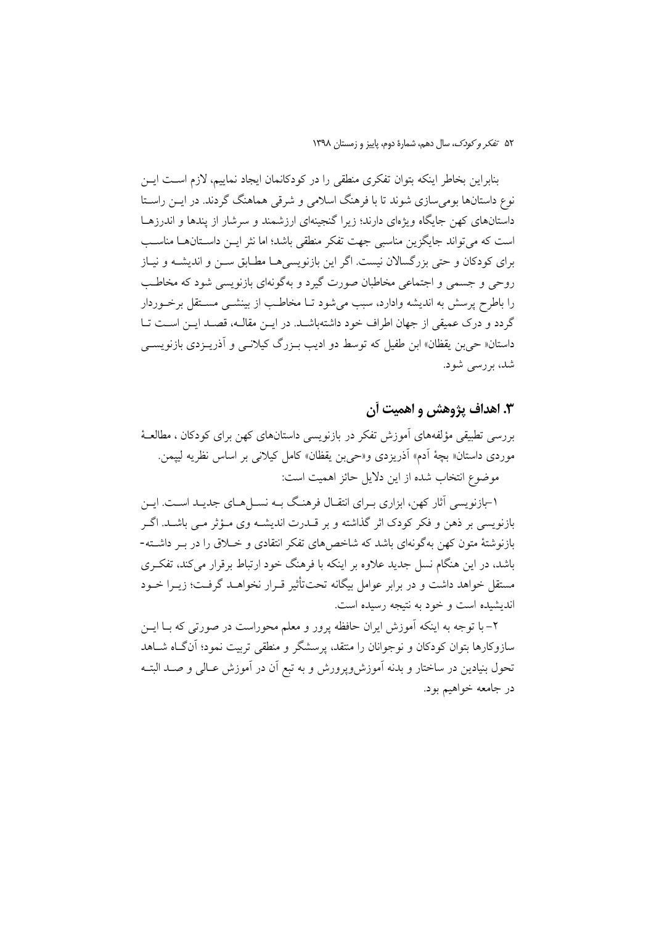بنابراین بخاطر اینکه بتوان تفکری منطقی را در کودکانمان ایجاد نماییم، لازم است ایــن نوع داستانها بومی سازی شوند تا با فرهنگ اسلامی و شرقی هماهنگ گردند. در ایــن راســتا داستانهای کهن جایگاه ویژهای دارند؛ زیرا گنجینهای ارزشمند و سرشار از یندها و اندرزهـا است كه مي تواند جايگزين مناسبي جهت تفكر منطقي باشد؛ اما نثر ايــن داسـتانهــا مناســب برای کودکان و حتی بزرگسالان نیست. اگر این بازنویسی هـا مطـابق ســن و اندیشــه و نیــاز روحي و جسمي و اجتماعي مخاطبان صورت گيرد و بهگونهاي بازنويسي شود كه مخاطب را باطرح پرسش به اندیشه وادارد، سبب می شود تــا مخاطـب از بینشــی مســتقل برخــوردار گردد و درک عمیقی از جهان اطراف خود داشتهباشـد. در ایـن مقالـه، قصـد ایـن اسـت تـا داستان« حی بن یقظان» ابن طفیل که توسط دو ادیب بـزرگ کیلانــی و آذریــزدی بازنویســی شد، بررسی شود.

# ۳. اهداف پژوهش و اهمیت آن

بررسی تطبیقی مؤلفههای اَموزش تفکر در بازنویسی داستانهای کهن برای کودکان ، مطالعـهٔ موردي داستان« بچهٔ آدم» آذریزدی و«حیبن یقظان» کامل کیلانی بر اساس نظریه لیپمن. موضوع انتخاب شده از این دلایل حائز اهمیت است:

۱-بازنویسی آثار کهن، ابزاری بـرای انتقـال فرهنـگ بـه نســلهـای جدیــد اســت. ایــن بازنویسی بر ذهن و فکر کودک اثر گذاشته و بر قــدرت اندیشــه وی مــؤثر مــی باشــد. اگــر بازنوشتهٔ متون کهن بهگونهای باشد که شاخصهای تفکر انتقادی و خــلاق را در بــر داشــته-باشد، در این هنگام نسل جدید علاوه بر اینکه با فرهنگ خود ارتباط برقرار میکند، تفکـری مستقل خواهد داشت و در برابر عوامل بیگانه تحتتأثیر قـرار نخواهــد گرفـت؛ زیــرا خــود اندیشیده است و خود به نتیجه رسیده است.

۲– با توجه به اینکه آموزش ایران حافظه پرور و معلم محوراست در صورتی که بــا ایــن سازوکارها بتوان کودکان و نوجوانان را منتقد، پرسشگر و منطقی تربیت نمود؛ آنگIه شــاهد تحول بنيادين در ساختار و بدنه آموزش ويرورش و به تبع آن در آموزش عــالي و صــد البتــه در جامعه خواهیم بود.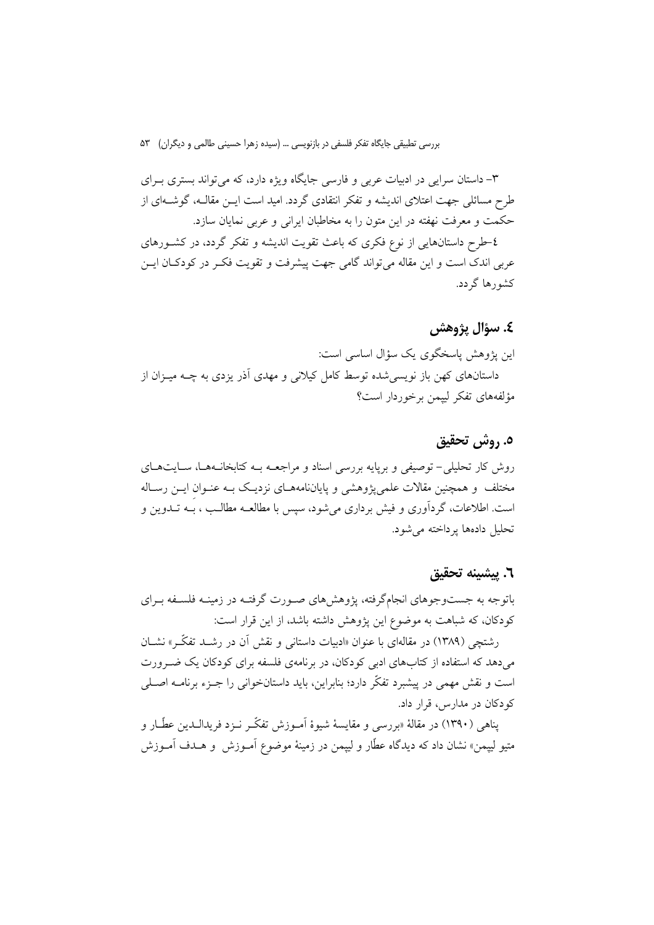۳– داستان سرایی در ادبیات عربی و فارسی جایگاه ویژه دارد، که می تواند بستری بـرای طرح مسائلی جهت اعتلای اندیشه و تفکر انتقادی گردد. امید است ایــن مقالــه، گوشــهای از حکمت و معرفت نهفته در این متون را به مخاطبان ایرانی و عربی نمایان سازد. ٤-طرح داستانهایی از نوع فکری که باعث تقویت اندیشه و تفکر گردد، در کشـورهای

عربي اندک است و اين مقاله مي تواند گامي جهت پيشرفت و تقويت فکـر در کودکـان ايــن کشورها گردد.

#### ٤. سؤال يژوهش

این پژوهش پاسخگوی یک سؤال اساسی است: داستانهای کهن باز نویسه شده توسط کامل کیلانی و مهدی آذر یزدی به چــه میــزان از مؤلفههای تفکر لیپمن برخوردار است؟

## ٥. روش تحقيق

روش کار تحلیلی-توصیفی و برپایه بررسی اسناد و مراجعـه بـه کتابخانـههـا، سـایتهـای مختلف و همچنین مقالات علمی یژوهشی و پایاننامههـای نزدیـک بـه عنـوان ایــن رسـاله است. اطلاعات، گردآوری و فیش برداری میشود، سپس با مطالعــه مطالـب ، بــه تــدوین و تحليل دادهها يرداخته مي شود.

#### ٦. پيشينه تحقيق

باتوجه به جستوجوهای انجامگرفته، پژوهشهای صورت گرفتـه در زمینـه فلسـفه بـرای کودکان، که شباهت به موضوع این پژوهش داشته باشد، از این قرار است:

رشتچی (۱۳۸۹) در مقالهای با عنوان «ادبیات داستانی و نقش آن در رشـد تفکّـر» نشــان می دهد که استفاده از کتابهای ادبی کودکان، در برنامهی فلسفه برای کودکان یک ضـرورت است و نقش مهمی در پیشبرد تفکّر دارد؛ بنابراین، باید داستانخوانی را جـزء برنامــه اصـلی کو دکان در مدارس، قرار داد.

يناهي (١٣٩٠) در مقالهٔ «بررسي و مقايسهٔ شيوهٔ اَمــوزش تفکّــر نــزد فريدالــدين عطّــار و متیو لیپمن» نشان داد که دیدگاه عطّار و لیپمن در زمینهٔ موضوع آمـوزش و هــدف آمـوزش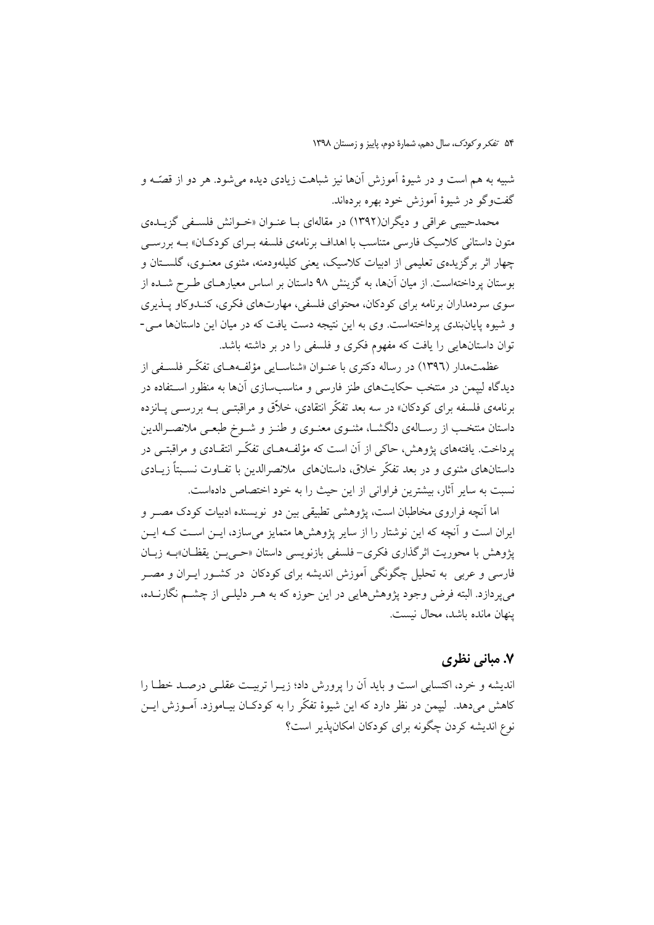شبیه به هم است و در شیوهٔ آموزش آنها نیز شباهت زیادی دیده می شود. هر دو از قصّــه و گفتوگو در شيوۀ آموزش خود بهره بردهاند.

محمدحبيبي عراقي و ديگران(١٣٩٢) در مقالهاي بــا عنــوان «خــوانش فلســفي گزيــدهي متون داستانی کلاسیک فارسی متناسب با اهداف برنامهی فلسفه بـرای کودکــان» بــه بررســی چهار اثر برگزیدهی تعلیمی از ادبیات کلاسیک، یعنی کلیلهودمنه، مثنوی معنـوی، گلســتان و بوستان پر داختهاست. از میان آنها، به گزینش ۹۸ داستان بر اساس معیارهــای طــرح شــده از سوی سردمداران برنامه برای کودکان، محتوای فلسفی، مهارتهای فکری، کنـدوکاو پــذیری و شیوه پایانبندی پرداختهاست. وی به این نتیجه دست یافت که در میان این داستانها مـی-توان داستانهایی را یافت که مفهوم فکری و فلسفی را در بر داشته باشد.

عظمتِمدار (١٣٩٦) در رساله دکتری با عنـوان «شناســابی مؤلفـههــای تفکّـر فلســفی از دیدگاه لییمن در منتخب حکایتهای طنز فارسی و مناسبسازی آنها به منظور اسـتفاده در برنامهی فلسفه برای کودکان» در سه بعد تفکّر انتقادی، خلاّق و مراقبتبی بــه بررســی پــانزده داستان منتخـب از رسـالهي دلگشـا، مثنـوي معنـوي و طنـز و شـوخ طبعـي ملانصـرالدين پرداخت. یافتههای پژوهش، حاکی از آن است که مؤلفـههـای تفکّـر انتقـادی و مراقبتــی در داستانهای مثنوی و در بعد تفکّر خلاق، داستانهای ملانصرالدین با تفـاوت نسـبتاً زیــادی نسبت به سایر آثار، بیشترین فراوانی از این حیث را به خود اختصاص دادهاست.

اما آنچه فراروی مخاطبان است، پژوهشی تطبیقی بین دو نویسنده ادبیات کودک مصـر و ایران است و آنچه که این نوشتار را از سایر پژوهشها متمایز می سازد، ایــن اسـت کــه ایــن يژوهش با محوريت اثر گذاري فكري- فلسفى بازنويسي داستان «حـي.بـن يقظـان»بــه زبــان .<br>فارسی و عربی به تحلیل چگونگی آموزش اندیشه برای کودکان در کشــور ایــران و مصــر می پردازد. البته فرض وجود پژوهشهایی در این حوزه که به هـر دلیلـی از چشــم نگارنــده، ينهان مانده باشد، محال نيست.

## ۷. مبانی نظری

اندیشه و خرد، اکتسابی است و باید اَن را پرورش داد؛ زیــرا تربیــت عقلــی درصــد خطــا را کاهش میدهد. کیپمن در نظر دارد که این شیوهٔ تفکّر را به کودکـان بیـاموزد. آمــوزش ایــن نوع اندیشه کردن چگونه برای کودکان امکان پذیر است؟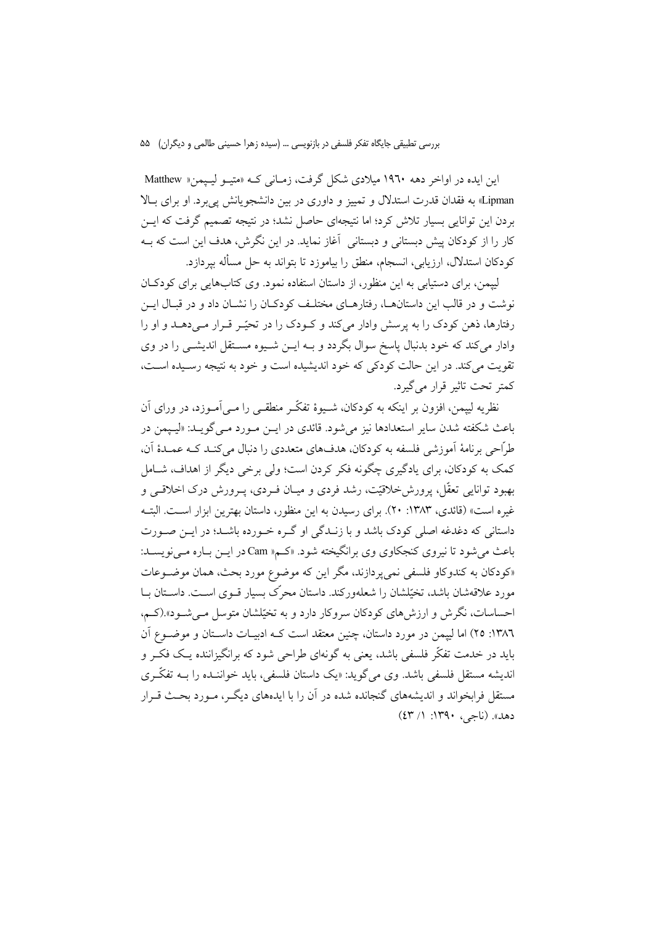این ایده در اواخر دهه ۱۹۶۰ میلادی شکل گرفت، زمـانی کـه «متیــو لیــپمن« Matthew Lipman» به فقدان قدرت استدلال و تمییز و داوری در بین دانشجویانش پی برد. او برای بالا بردن این توانایی بسیار تلاش کرد؛ اما نتیجهای حاصل نشد؛ در نتیجه تصمیم گرفت که ایــن کار را از کودکان پیش دبستانی و دبستانی آغاز نماید. در این نگرش، هدف این است که بــه كودكان استدلال، ارزيابي، انسجام، منطق را بياموزد تا بتواند به حل مسأله بيردازد.

لپیمن، برای دستیابی به این منظور، از داستان استفاده نمود. وی کتابهایی برای کودکـان نوشت و در قالب این داستانها، رفتارهـای مختلـف کودکـان را نشــان داد و در قبـال ایــن رفتارها، ذهن کودک را به پرسش وادار میکند و کـودک را در تحیّـر قـرار مـیدهــد و او را وادار می کند که خود بدنبال پاسخ سوال بگردد و بـه ایــن شــیوه مســتقل اندیشــی را در وی تقويت مي كند. در اين حالت كودكي كه خود انديشيده است و خود به نتيجه رسـيده اسـت، كمتر تحت تاثير قرار مي گيرد.

نظریه لیپمن، افزون بر اینکه به کودکان، شـیوهٔ تفکّـر منطقـی را مـی آمـوزد، در ورای آن باعث شکفته شدن سایر استعدادها نیز می شود. قائدی در ایــن مــورد مــی گویــد: «لیــیمن در طرَّاحی برنامهٔ اَموزشی فلسفه به کودکان، هدفهای متعددی را دنبال میکنـد کـه عمـدهٔ اَن، کمک به کودکان، برای یادگیری چگونه فکر کردن است؛ ولی برخی دیگر از اهداف، شــامل بهبود توانایی تعقّل، پرورش خلاقیّت، رشد فردی و میـان فـردی، پـرورش درک اخلاقـبی و غیره است» (قائدی، ۱۳۸۳: ۲۰). برای رسیدن به این منظور، داستان بهترین ابزار است. البتـه داستانی که دغدغه اصلی کودک باشد و با زنــدگی او گــره خــورده باشــد؛ در ایــن صــورت باعث مي شود تا نيروي كنجكاوي وي برانگيخته شود. «كـم« Cam در ايــن بــاره مــي نويســد: «کودکان به کندوکاو فلسفی نمیپردازند، مگر این که موضوع مورد بحث، همان موضـوعات مورد علاقهشان باشد، تخیّلشان را شعلهورکند. داستان محرک بسیار قـوی اسـت. داسـتان بـا احساسات، نگرش و ارزشهای کودکان سروکار دارد و به تخیّلشان متوسل مـیشـود».(کـم، ١٣٨٦: ٢٥) اما ليپمن در مورد داستان، چنين معتقد است كـه ادبيـات داسـتان و موضــوع آن باید در خدمت تفکّر فلسفی باشد، یعنی به گونهای طراحی شود که برانگیزاننده یـک فکـر و اندیشه مستقل فلسفی باشد. وی می گوید: «یک داستان فلسفی، باید خواننـده را بــه تفکّـری مستقل فرابخواند و اندیشههای گنجانده شده در آن را با ایدههای دیگ ، مورد بحث قـرار  $(21' / 1 \cdot 11') \cdot$ (ناحر، ۱۳۹۰)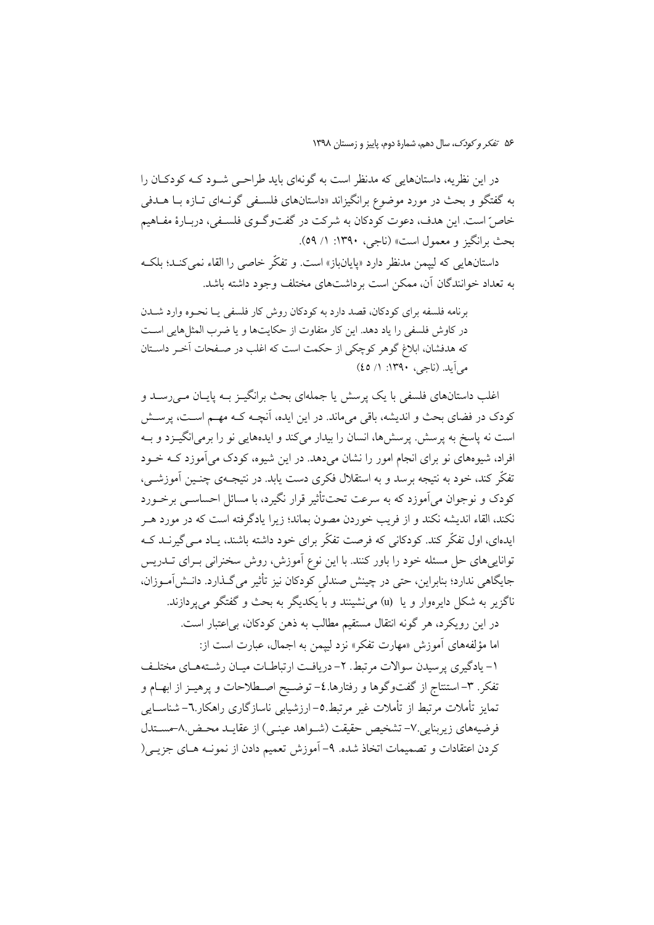در این نظریه، داستانهایی که مدنظر است به گونهای باید طراحبی شـود کـه کودکـان را به گفتگو و بحث در مورد موضوع برانگیزاند «داستانهای فلســفی گونــهای تــازه بــا هــدفی خاص است. این هدف، دعوت کودکان به شرکت در گفتوگـوي فلسـفي، دربـارهٔ مفـاهيم بحث برانگيز و معمول است» (ناجي، ١٣٩٠: ١/ ٥٩).

داستانهایی که لیپمن مدنظر دارد «پایانباز» است. و تفکّر خاصی را القاء نمیکنـد؛ بلکـه به تعداد خوانندگان آن، ممکن است برداشتهای مختلف وجود داشته باشد.

برنامه فلسفه برای کودکان، قصد دارد به کودکان روش کار فلسفی یـا نحـوه وارد شــدن در كاوش فلسفى را ياد دهد. اين كار متفاوت از حكايتها و يا ضرب المثلهايي است كه هدفشان، ابلاغ گوهر كوچكى از حكمت است كه اغلب در صفحات آخر داستان مي آيد. (ناجي، ١٣٩٠: ١/ ٤٥)

اغلب داستانهای فلسفی با یک پرسش یا جملهای بحث برانگیـز بـه پایـان مـی(سـد و کودک در فضای بحث و اندیشه، باقی میماند. در این ایده، آنچـه کـه مهــم اسـت، پرسـش است نه پاسخ به پرسش. پرسشها، انسان را بیدار میکند و ایدههایی نو را برمیانگیـزد و بــه افراد، شیوههای نو برای انجام امور را نشان میدهد. در این شیوه، کودک می آموزد کـه خــود تفکُّر کند، خود به نتیجه برسد و به استقلال فکری دست یابد. در نتیجـهی چنـین آموزشـی، کودک و نوجوان می آموزد که به سرعت تحتتأثیر قرار نگیرد، با مسائل احساســی برخــورد نکند، القاء اندیشه نکند و از فریب خوردن مصون بماند؛ زیرا یادگرفته است که در مورد هـر ایدهای، اول تفکّر کند. کودکانی که فرصت تفکّر برای خود داشته باشند، یـاد مـی گیرنــد کــه تواناییهای حل مسئله خود را باور کنند. با این نوع آموزش، روش سخنرانی بـرای تــدریس جایگاهی ندارد؛ بنابراین، حتی در چینش صندلی کودکان نیز تأثیر میگـذارد. دانـش[مــوزان، ناگزیر به شکل دایرهوار و یا (u) می نشینند و با یکدیگر به بحث و گفتگو می پردازند.

در این رویکرد، هر گونه انتقال مستقیم مطالب به ذهن کودکان، بی|عتبار است. اما مؤلفههای آموزش «مهارت تفکر» نزد لیپمن به اجمال، عبارت است از: ۱- یادگیری پرسیدن سوالات مرتبط. ۲- دریافت ارتباطیات میبان رشتههبای مختلیف تفکر. ۳-استنتاج از گفتوگوها و رفتارها.٤- توضـيح اصـطلاحات و پرهيـز از ابهــام و تمایز تأملات مرتبط از تأملات غیر مرتبط.٥–ارزشیابی ناسازگاری راهکار.٦–شناســایی فرضیههای زیربنایی.۷- تشخیص حقیقت (شـواهد عینـی) از عقایـد محـض.۸-مســتدل كردن اعتقادات و تصميمات اتخاذ شده. ٩- آموزش تعميم دادن از نمونــه هــاي جزيــي(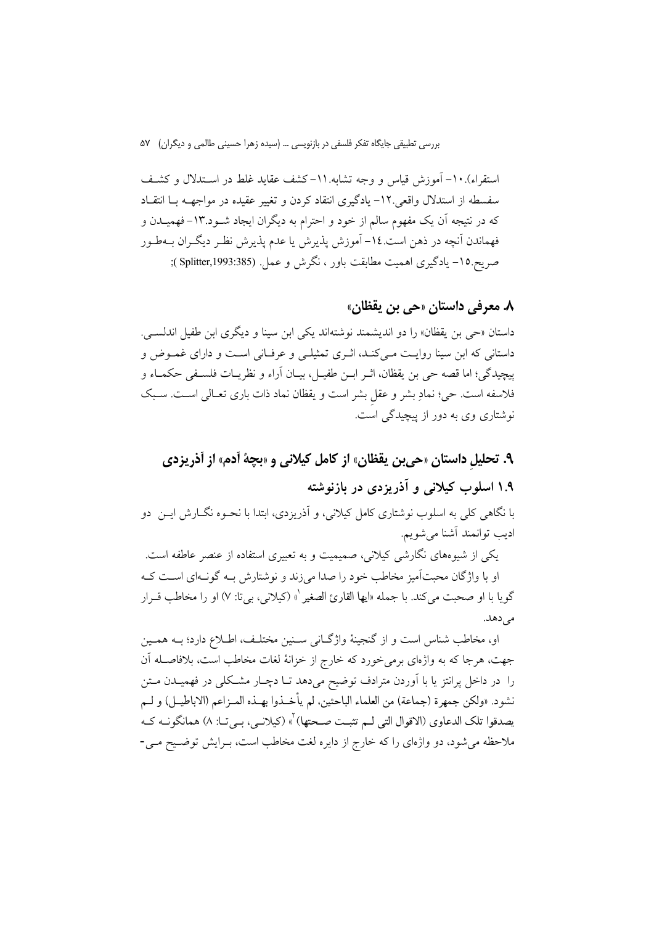استقراء).١٠- آموزش قياس و وجه تشابه.١١-كشف عقايد غلط در اسـتدلال و كشـف سفسطه از استدلال واقعی.۱۲– یادگیری انتقاد کردن و تغییر عقیده در مواجهــه بــا انتقــاد که در نتیجه اَن یک مفهوم سالم از خود و احترام به دیگران ایجاد شــود.۱۳–فهمیــدن و فهماندن آنچه در ذهن است.١٤–آموزش يذيرش يا عدم يذيرش نظـر ديگــران بــهطــور صريح.10- يادگيري اهميت مطابقت باور ، نگرش و عمل (Splitter,1993:385 );

## ۸. معرفي داستان «*حي* بن يقظان»

داستان «حي بن يقظان» را دو انديشمند نوشتهاند يكي ابن سينا و ديگري ابن طفيل اندلسـي. داستانی که ابن سینا روایـت مـیکنـد، اثـری تمثیلـی و عرفـانی اسـت و دارای غمـوض و پيچيدگي؛ اما قصه حي بن يقظان، اثـر ابــن طفيــل، بيــان آراء و نظريــات فلســفي حكمــاء و فلاسفه است. حي؛ نمادِ بشر و عقل بشر است و يقظان نماد ذات بارى تعـالى اسـت. سـبک نوشتاری وی به دور از پیچیدگی است.

# ۹. تحلیل داستان «حیبن یقظان» از کامل کیلانی و «بچهٔ آدم» از آذریزدی ۱.۹ اسلوب کیلانی و آذریزدی در بازنوشته

با نگاهی کلی به اسلوب نوشتاری کامل کیلانی، و آذریزدی، ابتدا با نحـوه نگـارش ایــن دو اديب توانمند أشنا مي شويم.

یکی از شیوههای نگارشی کیلانی، صمیمیت و به تعبیری استفاده از عنصر عاطفه است. او با واژگان محبتآمیز مخاطب خود را صدا میزند و نوشتارش بـه گونـهای اسـت کـه گو يا با او صحبت مي كند. با جمله «ايها القارئ الصغير "» (كيلاني، بي تا: ۷) او را مخاطب قـرار مے زدھلہ۔

او، مخاطب شناس است و از گنجینهٔ واژگـانی سـنین مختلـف، اطـلاع دارد؛ بـه همـین جهت، هرجا كه به واژهاى برمى خورد كه خارج از خزانهٔ لغات مخاطب است، بلافاصـله آن را در داخل پرانتز یا با آوردن مترادف توضیح میدهد تـا دچـار مشـكلی در فهمیــدن مــتن نشود. «ولكن جمهرة (جماعة) من العلماء الباحثين، لم يأخـذوا بهـذه المـزاعم (الاباطيـل) و لــم يصدقوا تلك الدعاوي (الاقوال التي لـم تثبـت صـحتها) ``، (كيلانـي، بـيتـا: ٨) همانگونــه كــه ملاحظه می شود، دو واژهای را که خارج از دایره لغت مخاطب است، بـرایش توضـیح مـی-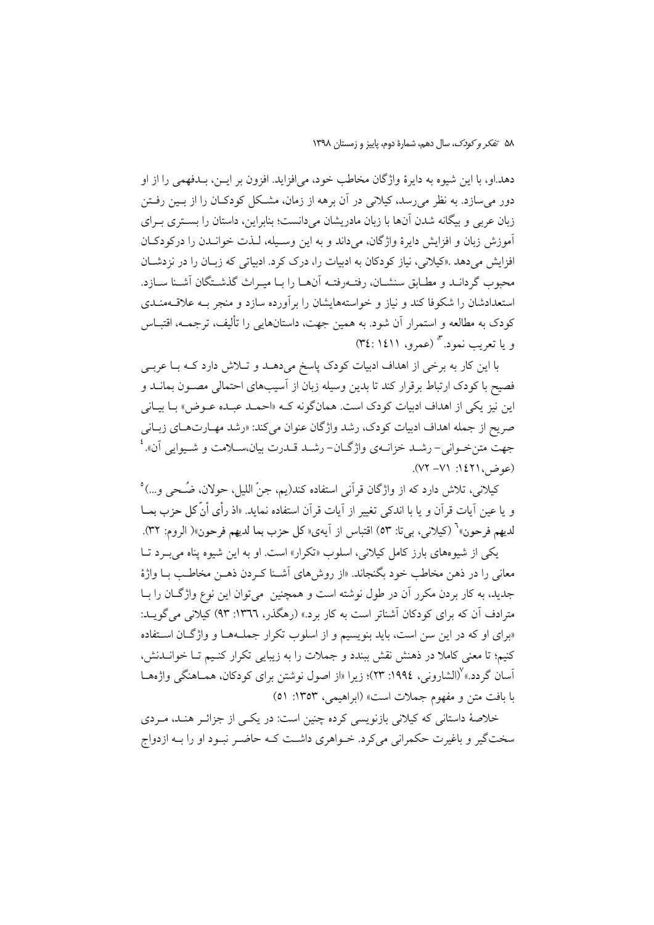دهد.او، با اين شيوه به دايرهٔ واژگان مخاطب خود، مي افزايد. افزون بر ايــن، بــدفهمي را از او دور می سازد. به نظر می رسد، کیلانی در آن برهه از زمان، مشــکل کودکــان را از بــین رفــتن زبان عربی و بیگانه شدن آنها با زبان مادریشان میدانست؛ بنابراین، داستان را بستری بـرای آموزش زبان و افزایش دایرهٔ واژگان، میداند و به این وسیله، لـذت خوانـدن را درکودکـان افزایش میدهد .«کیلانی، نیاز کودکان به ادبیات را، درک کرد. ادبیاتی که زبـان را در نزدشـان محبوب گردانـد و مطـابق سنشـان، رفتــهرفتــه اّنهــا را بــا ميــراث گذشــتگان اَشــنا ســازد. استعدادشان را شکوفا کند و نیاز و خواستههایشان را بر آورده سازد و منجر بـه علاقــهمنــدی كودك به مطالعه و استمرار آن شود. به همین جهت، داستانهایی را تألیف، ترجمــه، اقتبــاس و یا تعریب نمود. " (عمرو، ۶۱۱) (۳٤:

با این کار به برخی از اهداف ادبیات کودک یاسخ میدهـد و تـلاش دارد کـه بـا عربـی فصیح با کودک ارتباط برقرار کند تا بدین وسیله زبان از آسیبهای احتمالی مصـون بمانــد و این نیز یکی از اهداف ادبیات کودک است. همانگونه کـه «احمـد عبـده عـوض» بـا بیـانی صريح از جمله اهداف ادبيات كودك، رشد واژگان عنوان ميكند: «رشد مهـارتهـاي زبـاني جهت متن خــواني- رشــد خزانــهي واژگــان- رشــد قــدرت بيان،ســلامت و شــيوايي آن». ' (عوض) ١٤٢١: ٧١–٧٢).

کیلانی، تلاش دارد که از واژگان قرآنی استفاده کند(یم، جنّ اللیل، حولان، ضُـحی و…)° و يا عين آيات قرآن و يا با اندكي تغيير از آيات قرآن استفاده نمايد. «اذ رأى أنَّ كل حزب بمــا لديهم فرحون»<sup>٦</sup> (كيلاني، بي تا: ٥٣) اقتباس از أيهي« كل حزب بما لديهم فرحون»( الروم: ٣٢).

یکی از شیوههای بارز کامل کیلانی، اسلوب «تکرار» است. او به این شیوه پناه می بـرد تــا معاني را در ذهن مخاطب خود بگنجاند. «از روش هاي اَشـنا كـردن ذهـن مخاطـــــ بــا واژهٔ جدید، به کار بردن مکرر آن در طول نوشته است و همچنین ٍ می توان این نوع واژگـان را بــا مترادف آن که برای کودکان آشناتر است به کار برد.» (رهگذر، ١٣٦٦: ٩٣) کیلانی می گویــد: «برای او که در این سن است، باید بنویسیم و از اسلوب تکرار جملـههـا و واژگـان اسـتفاده كنيم؛ تا معنى كاملا در ذهنش نقش ببندد و جملات را به زيبايي تكرار كنـيم تــا خوانــدنش، آسان گردد.»<sup>۷</sup>(الشارونی، ۱۹۹٤: ۲۳)؛ زیرا «از اصول نوشتن برای کودکان، همـاهنگی واژههـا با بافت متن و مفهوم جملات است» (ابراهیمی، ۱۳۵۳: ۵۱)

خلاصهٔ داستانی که کیلانی بازنویسی کرده چنین است: در یکسی از جزائـر هنـد، مـردی سختگیر و باغیرت حکمرانی میکرد. خــواهری داشــت کــه حاضــر نبــود او را بــه ازدواج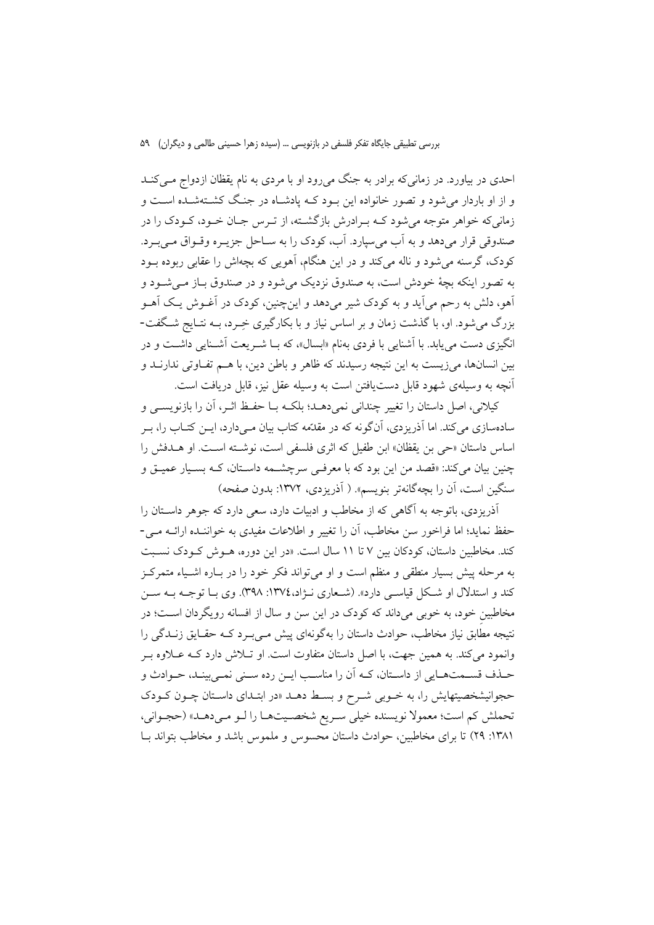احدی در بیاورد. در زمانی که برادر به جنگ می رود او با مردی به نام یقظان ازدواج مـی کنـد و از او باردار می شود و تصور خانواده این بود کـه پادشـاه در جنـگ کشـتهشـده اسـت و زمانی که خواهر متوجه می شود کـه بـرادرش بازگشــته، از تـرس جـان خــود، کــودک را در صندوقي قرار مي دهد و به أب مي سيارد. أب، كودك را به ســاحل جزيــره وقــواق مــي بــرد. کودک، گرسنه می شود و ناله می کند و در این هنگام، آهویی که بچهاش را عقابی ربوده بــود به تصور اینکه بچهٔ خودش است، به صندوق نزدیک میشود و در صندوق بـاز مـیشـود و اَهو، دلش به رحم مي اَيد و به كودك شير مي دهد و اينچنين، كودك در اَغــوش يــک اَهــو بزرگ می شود. او، با گذشت زمان و بر اساس نیاز و با بکارگیری خِـرد، بــه نتــایج شــگفت-انگیزی دست می یابد. با آشنایی با فردی بهنام «ابسال»، که بـا شـریعت آشـنایی داشـت و در بین انسانها، میزیست به این نتیجه رسیدند که ظاهر و باطن دین، با هـم تفـاوتی ندارنــد و آنچه به وسیلهی شهود قابل دست یافتن است به وسیله عقل نیز، قابل دریافت است.

كيلاني، اصل داستان را تغيير چنداني نميدهـد؛ بلكـه بــا حفــظ اثــر، أن را بازنويســي و سادهسازی میکند. اما آذریزدی، آنگونه که در مقدّمه کتاب بیان مـیدارد، ایــن کتــاب را، بــر اساس داستان «حی بن یقظان» ابن طفیل که اثری فلسفی است، نوشته است. او هـدفش را چنین بیان میکند: «قصد من این بود که با معرف<sub>عی</sub> سرچشـمه داسـتان، کــه بسـیار عمیـق و سنگین است، آن را بچهگانهتر بنویسم». ( آذریزدی، ۱۳۷۲: بدون صفحه)

آذریزدی، باتوجه به آگاهی که از مخاطب و ادبیات دارد، سعی دارد که جوهر داسـتان را حفظ نماید؛ اما فراخور سن مخاطب، آن را تغییر و اطلاعات مفیدی به خواننـده ارائــه مــی-کند. مخاطبین داستان، کودکان بین ۷ تا ۱۱ سال است. «در این دوره، هــوش کــودک نســبت به مرحله پیش بسیار منطقی و منظم است و او می تواند فکر خود را در بـاره اشـیاء متمرکـز کند و استدلال او شکل قیاسـی دارد». (شـعاری نـژاد،١٣٧٤: ٣٩٨). وی بـا توجـه بـه سـن مخاطبین خود، به خوبی میداند که کودک در این سن و سال از افسانه رویگردان است؛ در نتیجه مطابق نیاز مخاطب، حوادث داستان را بهگونهای پیش مےبورد کـه حقـایق زنــدگی را وانمود میکند. به همین جهت، با اصل داستان متفاوت است. او تــلاش دارد کــه عــلاوه بــر حـذف قســمتهــايي از داسـتان، كــه آن را مناسـب ايــن رده ســني نمــيبينــد، حــوادث و حجوانیشخصیتهایش را، به خـوبی شـرح و بسـط دهـد «در ابتـدای داسـتان چـون کـودک تحملش کم است؛ معمولاً نویسنده خیلی سـریع شخصـیتهـا را لـو مـیدهـد» (حجـوانی، ۱۳۸۱: ۲۹) تا برای مخاطبین، حوادث داستان محسوس و ملموس باشد و مخاطب بتواند بـا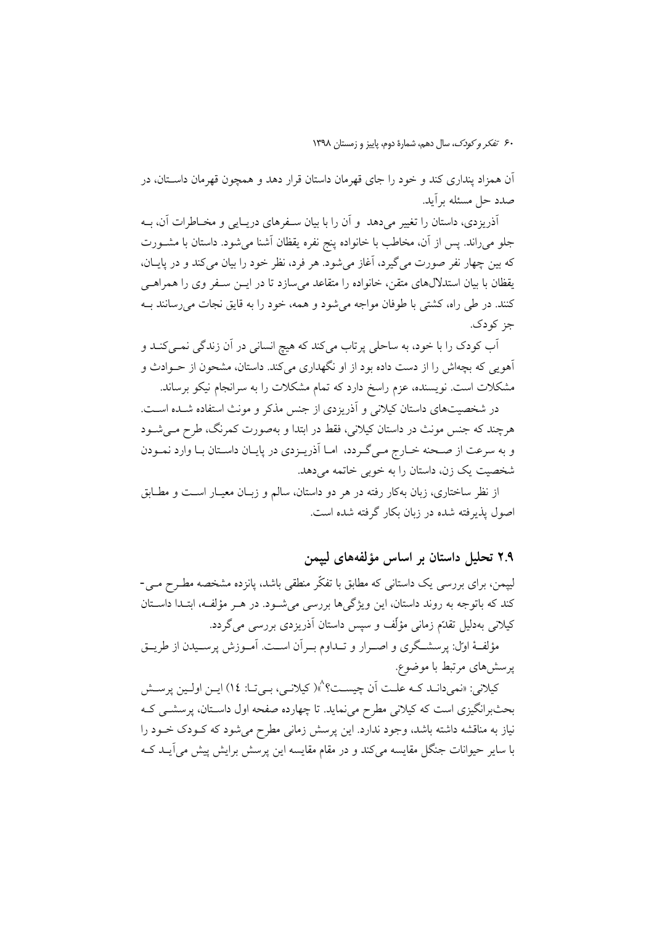آن همزاد پنداري کند و خو د را جاي قهرمان داستان قرار دهد و همچون قهرمان داسـتان، در صدد حل مسئله برآيد.

آذریزدی، داستان را تغییر می دهد و آن را با بیان سـفرهای دریـایی و مخـاطرات آن، بـه جلو مي راند. پس از آن، مخاطب با خانواده پنج نفره يقظان آشنا مي شود. داستان با مشــورت که بین چهار نفر صورت می گیرد، آغاز می شود. هر فرد، نظر خود را بیان می کند و در پایــان، يقظان با بيان استدلالهاي متقن، خانواده را متقاعد مي سازد تا در ايــن ســفر وي را همراهــي کنند. در طی راه، کشتی با طوفان مواجه می شود و همه، خود را به قایق نجات می رسانند بـه جز کودک.

اّب کودک را با خود، به ساحلی پرتاب میکند که هیچ انسانی در اَن زندگی نمـیکنـد و اّهو پی که بچهاش را از دست داده بود از او نگهداری می کند. داستان، مشحون از حــوادث و مشکلات است. نویسنده، عزم راسخ دارد که تمام مشکلات را به سرانجام نیکو برساند.

در شخصیتهای داستان کیلانی و آذریزدی از جنس مذکر و مونث استفاده شــده اســت. هرچند که جنس مونث در داستان کیلانی، فقط در ابتدا و بهصورت کمرنگ، طرح مــی شــود و به سرعت از صـحنه خــارج مــيگــردد، امــا اَذريــزدي در پايــان داســتان بــا وارد نمــودن شخصیت یک زن، داستان را به خوبی خاتمه می دهد.

از نظر ساختاری، زبان بهکار رفته در هر دو داستان، سالم و زبـان معیــار اســت و مطــابق اصول يذيرفته شده در زبان بكار گرفته شده است.

۲.۹ تحلیل داستان بر اساس مؤلفههای لییمن

لپیمن، برای بررسی یک داستانی که مطابق با تفکّر منطقی باشد، پانزده مشخصه مطـرح مـی-کند که باتوجه به روند داستان، این ویژگیها بررسی میشود. در هـر مؤلفـه، ابتـدا داسـتان کیلانی بهدلیل تقدّم زمانی مؤلّف و سپس داستان اَذریزدی بررسی می گردد.

مؤلفهٔ اول: پرسشگری و اصـرار و تـداوم بـران اسـت. آمـوزش پرسـيدن از طريــق پرسشهای مرتبط با موضوع.

کيلاني: «نمي دانـد کـه علـت آن چيسـت؟ ^\( کيلانـي، بـي تـا: ١٤) ايـن اولـين پرسـش بحثبرانگیزی است که کیلانی مطرح می نماید. تا چهارده صفحه اول داسـتان، پرسشــی کــه نیاز به مناقشه داشته باشد، وجود ندارد. این پرسش زمانی مطرح میشود که کـودک خـود را با سایر حیوانات جنگل مقایسه میکند و در مقام مقایسه این پرسش برایش پیش می[یــد کــه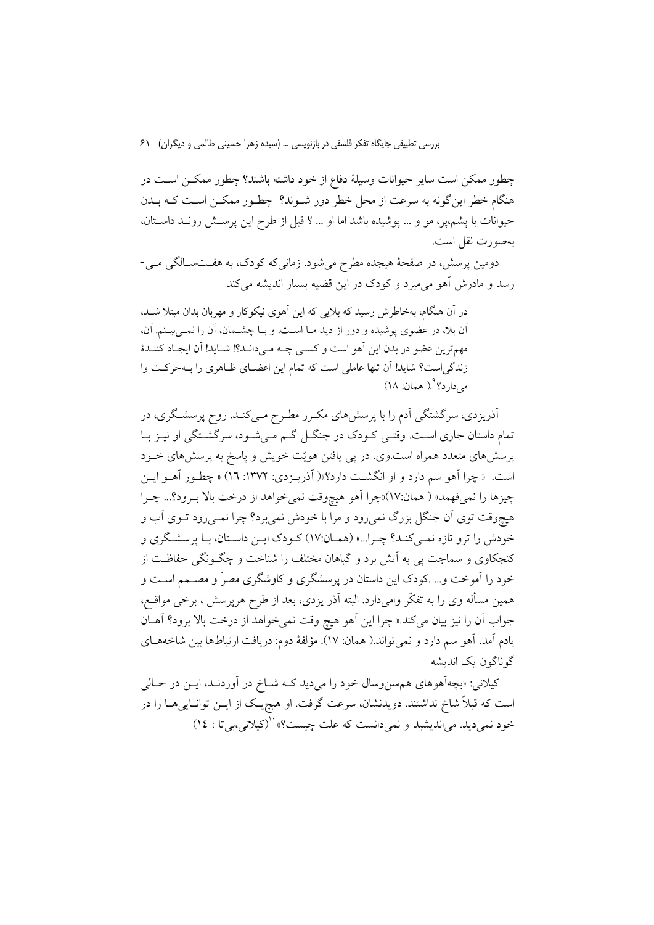چطور ممکن است سایر حیوانات وسیلهٔ دفاع از خود داشته باشند؟ چطور ممکـن اسـت در هنگام خطر اینگونه به سرعت از محل خطر دور شـوند؟ چطـور ممکـن اسـت کـه بــدن حیوانات با پشم،پر، مو و … پوشیده باشد اما او … ؟ قبل از طرح این پرستش رونـد داسـتان، بهصورت نقل است.

دومین پرسش، در صفحهٔ هیجده مطرح میشود. زمانیکه کودک، به هفـتسـالگی مـی-رسد و مادرش آهو می میرد و کودک در این قضیه بسیار اندیشه می کند

در آن هنگام، بهخاطرش رسید که بلایی که این آهوی نیکوکار و مهربان بدان مبتلا شـد. آن بلا، در عضوى يوشيده و دور از ديد مـا اسـت. و بـا چشــمان، آن را نمــي بيـنم. آن، مهمترين عضو در بدن اين آهو است و كسبي چـه مـي(دانـد؟! شــايد! آن ايجـاد كننـدهٔ زندگی است؟ شاید! آن تنها عاملی است که تمام این اعضـای ظـاهری را بـهحرکـت وا  $(\Lambda)$ می دار د؟  $(\Lambda)$  همان: ۱۸)

اَذریزدی، سرگشتگی اَدم را با پرسشهای مکـرر مطـرح مـیکنـد. روح پرسشـگری، در تمام داستان جاری است. وقتـی کـودک در جنگــل گــم مــیشــود، سرگشــتگی او نیــز بــا پرسشهای متعدد همراه است.وی، در پی یافتن هویّت خویش و پاسخ به پرسشهای خــود است. « چرا آهو سم دارد و او انگشت دارد؟»( آذریـزدی: ۱۳۷۲: ۱٦) « چطـور آهـو ایـن چيزها را نميفهمد» ( همان:١٧)«چرا أهو هيچوقت نمي خواهد از درخت بالا بـرود؟... چـرا هیچوقت توی اَن جنگل بزرگ نمیرود و مرا با خودش نمیبرد؟ چرا نمــیرود تــوی اَب و خودش را ترو تازه نمبے کنـد؟ چـرا…» (همـان:۱۷) کـودک ایـن داسـتان، بـا پرسشـگری و کنجکاوی و سماجت پی به آتش برد و گیاهان مختلف را شناخت و چگـونگی حفاظـت از خود را آموخت و… .کودک این داستان در پرسشگری و کاوشگری مصرٌ و مصــمم اســت و همین مسأله وی را به تفکّر وامیدارد. البته آذر یزدی، بعد از طرح هرپرسش ، برخی مواقــع، جواب أن را نيز بيان مي كند.« چرا اين أهو هيچ وقت نمي خواهد از درخت بالا برود؟ أهـان يادم آمد، آهو سم دارد و نميٍتواند.( همان: ١٧). مؤلفهٔ دوم: دريافت ارتباطها بين شاخههـاي گوناگون یک اندیشه

کیلانی: «بچهآهوهای هم سنوسال خود را میدید کــه شــاخ در آوردنــد، ایــن در حــالی است که قبلاً شاخ نداشتند. دویدنشان، سرعت گرفت. او هیچیک از ایــن توانــاییهـــا را در خود نمي ديد. مي انديشيد و نمي دانست كه علت چيست؟» <sup>١</sup> (كيلاني، بي تا : ١٤)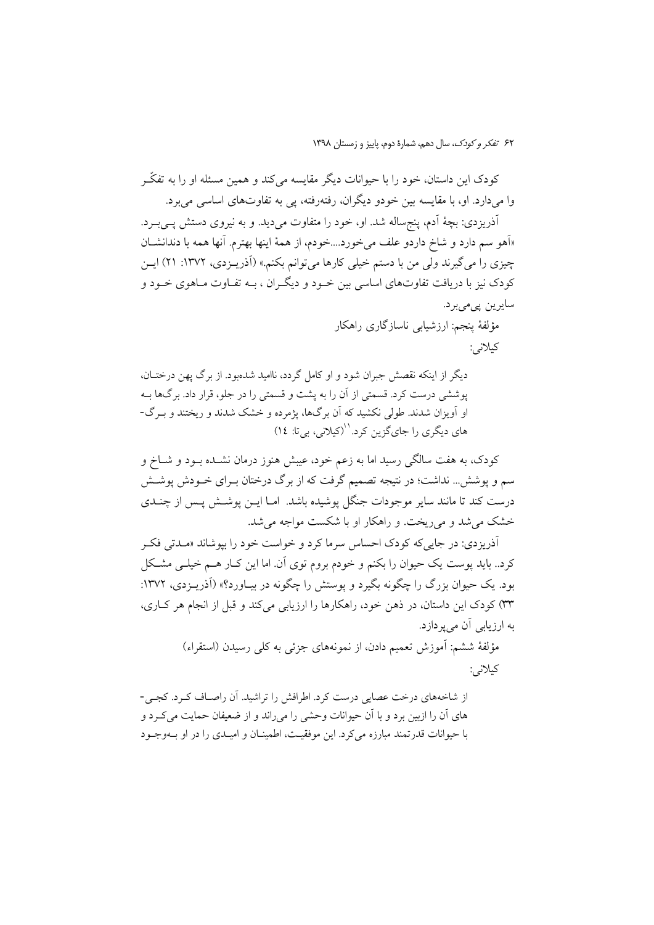کودک این داستان، خود را با حیوانات دیگر مقایسه میکند و همین مسئله او را به تفکّر وا میدارد. او، با مقایسه بین خودو دیگران، رفتهرفته، یی به تفاوتهای اساسی می برد.

أذريزدي: بچهٔ أدم، پنج ساله شد. او، خود را متفاوت مي ديد. و به نيروي دستش يــي بــرد. «اَهو سم دارد و شاخ داردو علف می خورد....خودم، از همهٔ اینها بهترم. آنها همه با دندانشـان چیزی را می گیرند ولی من با دستم خیلی کارها میتوانم بکنم.» (اَذریـزدی، ١٣٧٢: ٢١) ایـن کودک نیز با دریافت تفاوتهای اساسی بین خــود و دیگــران ، بــه تفــاوت مــاهوی خــود و سايرين پيميبرد.

> مؤلفهٔ پنجم: ارزشیابی ناسازگاری راهکار کيلانې:

دیگر از اینکه نقصش جبران شود و او کامل گردد، ناامید شدهبود. از برگ پهن درختـان، پوششی درست کرد. قسمتی از آن را به پشت و قسمتی را در جلو، قرار داد. برگها بـه او آویزان شدند. طولی نکشید که آن برگها، پژمرده و خشک شدند و ریختند و بـرگ-های دیگری را جایگزین کرد. <sup>۱٬</sup>(کیلانی، بی تا: ۱٤)

کودک، به هفت سالگی رسید اما به زعم خود، عیبش هنوز درمان نشــده بــود و شــاخ و سم و پوشش… نداشت؛ در نتیجه تصمیم گرفت که از برگ درختان بـرای خــودش پوشــش درست کند تا مانند سایر موجودات جنگل پوشیده باشد. امـا ایــن پوشــش پــس از چنــدی خشک می شد و می ریخت. و راهکار او با شکست مواجه می شد.

آذریزدی: در جای<sub>بی</sub>که کودک احساس سرما کرد و خواست خود را بپوشاند «مـدتی فکـر کرد.. باید پوست یک حیوان را بکنم و خودم بروم توی آن. اما این کـار هــم خیلــی مشــکل بود. یک حیوان بزرگ را چگونه بگیرد و پوستش را چگونه در بیـاورد؟» (اَذریـزدی، ۱۳۷۲: ٣٣) كودك اين داستان، در ذهن خود، راهكارها را ارزيابي مي كند و قبل از انجام هر كـاري، به ارزیابی آن میپردازد.

> مؤلفهٔ ششم: اَموزش تعمیم دادن، از نمونههای جزئی به کلی رسیدن (استقراء) كيلانى:

از شاخههای درخت عصایی درست کرد. اطرافش را تراشید. آن راصاف کـرد. کجـی-های آن را ازبین برد و با آن حیوانات وحشی را میراند و از ضعیفان حمایت می کرد و با حیوانات قدرتمند مبارزه می کرد. این موفقیت، اطمینان و امیـدی را در او بــهوجــود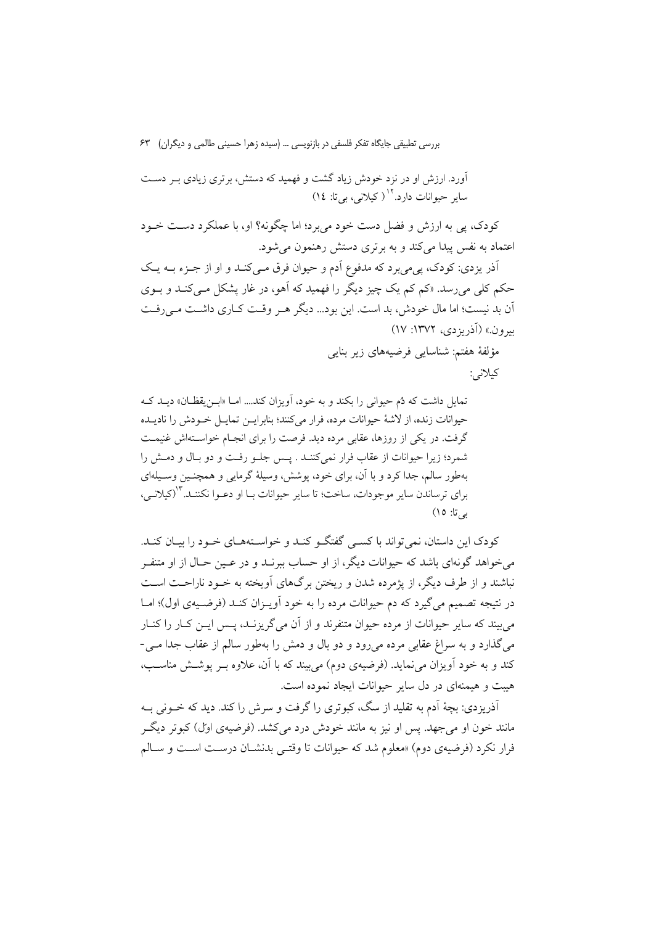آورد. ارزش او در نزد خودش زیاد گشت و فهمید که دستش، برتری زیادی ببر دست سایر حیوانات دارد.<sup>۱۲</sup> (کیلانی، بی تا: ۱٤)

کودک، پی به ارزش و فضل دست خود می برد؛ اما چگونه؟ او، با عملکرد دست خــود اعتماد به نفس پیدا می کند و به برتری دستش رهنمون می شود.

اَذر يزدي: کودک، يې مې برد که مدفوع اَدم و حيوان فرق مـي کنـد و او از جـزء بــه يـک حکم کلی می رسد. «کم کم یک چیز دیگر را فهمید که آهو، در غار پشکل مبی کنـد و بــوی آن بد نیست؛ اما مال خودش، بد است. این بود... دیگر هـر وقـت کـاری داشـت مـی رفـت بيرون.» (آذريز دي، ١٣٧٢: ١٧)

> مؤلفهٔ هفتم: شناسایی فرضیههای زیر بنایی كيلانى:

تمایل داشت که دُم حیوانی را بکند و به خود، آویزان کند.... امـا «ابـن یقظـان» دیــد کــه حيوانات زنده، از لاشهٔ حيوانات مرده، فرار مي كنند؛ بنابرايــن تمايــل خــودش را ناديــده گرفت. در یکی از روزها، عقابی مرده دید. فرصت را برای انجـام خواسـتهاش غنیمـت شمرد؛ زیرا حیوانات از عقاب فرار نمی کننـد . پـس جلـو رفـت و دو بـال و دمـش را بهطور سالم، جدا کرد و با آن، برای خود، پوشش، وسیلهٔ گرمایی و همچنـین وسـیلهای براي ترساندن ساير موجودات، ساخت؛ تا ساير حيوانات بـا او دعــوا نكننــد. ١٣(كيلانــي، بے تا: ١٥)

کودک این داستان، نمی تواند با کسبی گفتگ و کنـد و خواسـتههـای خـود را بيـان کنـد. می خواهد گو نهای باشد که حیوانات دیگر، از او حساب ببرنــد و در عــین حــال از او متنفــر نباشند و از طرف دیگر، از پژمرده شدن و ریختن برگهای آویخته به خـود ناراحـت اسـت در نتیجه تصمیم میگیرد که دم حیوانات مرده را به خود آویـزان کنـد (فرضـیهی اول)؛ امـا می بیند که سایر حیوانات از مرده حیوان متنفرند و از آن می گریزنــد، پــس ایــن کــار را کنــار می گذارد و به سراغ عقابی مرده می رود و دو بال و دمش را بهطور سالم از عقاب جدا مـی-کند و به خود اَویزان می نماید. (فرضیهی دوم) می بیند که با اَن، علاوه بــر یوشــش مناســب، هست و هیمنهای در دل سایر حیوانات ایجاد نموده است.

أذریزدی: بچهٔ أدم به تقلید از سگ، کبوتری را گرفت و سرش را کند. دید که خــونی بــه مانند خون او می جهد. پس او نیز به مانند خودش درد می کشد. (فرضیهی اول) کبوتر دیگـر فرار نکرد (فرضیهی دوم) «معلوم شد که حیوانات تا وقتبی بدنشـان درسـت اسـت و سـالم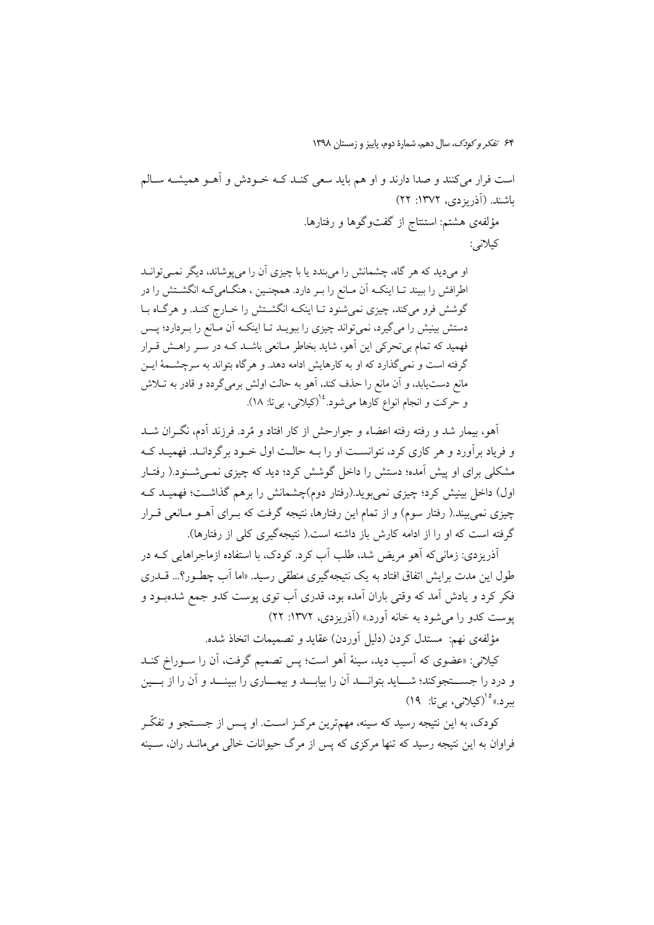است فرار می کنند و صدا دارند و او هم باید سعی کنـد کــه خــودش و آهــو همیشــه ســالم باشند. (آذریزدی، ۱۳۷۲: ۲۲) مؤلفهى هشتم: استنتاج از گفتوگوها و رفتارها. کيلاني:

او میدید که هر گاه، چشمانش را می بندد یا با چیزی آن را می پوشاند، دیگر نمبی توانـد اطرافش را ببیند تـا اینکـه آن مـانع را بـر دارد. همچنـین ، هنگـامیکـه انگشـتش را در گوشش فرو می کند، چیزی نمی شنود تـا اینکـه انگشــتش را خــارج کنــد. و هرگــاه بــا دستش بینیش را میگیرد، نمیتواند چیزی را ببویـد تـا اینکـه آن مـانع را بـردارد؛ پـس فهمید که تمام بی تحرکی این آهو، شاید بخاطر مـانعی باشـد کـه در سـر راهـش قـرار گرفته است و نمی گذارد که او به کارهایش ادامه دهد. و هرگاه بتواند به سرچشـمهٔ ایــن مانع دست یابد، و آن مانع را حذف کند، آهو به حالت اولش برمی گردد و قادر به تــلاش و حرکت و انجام انواع کارها می شود. <sup>۱۶</sup>(کیلانی، ب<u>ی</u> تا: ۱۸).

آهو، بيمار شد و رفته رفته اعضاء و جوارحش از كار افتاد و مُرد. فرزند آدم، نگـران شــد و فریاد بر آورد و هر کاری کرد، نتوانسـت او را بــه حالـت اول خــود بر گردانــد. فهمیــد کــه مشکلی برای او پیش آمده؛ دستش را داخل گوشش کرد؛ دید که چیزی نمــیشــنود.( رفتــار اول) داخل بینیش کرد؛ چیزی نمی بوید.(رفتار دوم)چشمانش را برهم گذاشـت؛ فهمیـد کـه چیزی نمی بیند.( رفتار سوم) و از تمام این رفتارها، نتیجه گرفت که بـرای آهــو مــانعی قــرار گرفته است که او را از ادامه کارش باز داشته است.( نتیجهگیری کلی از رفتارها).

آذریزدی: زمانی که آهو مریض شد، طلب آب کرد. کودک، یا استفاده ازماجراهایی کـه در طول این مدت برایش اتفاق افتاد به یک نتیجهگیری منطقی رسید. «اما آب چطـور؟... قــدری فکر کرد و یادش اَمد که وقتی باران اَمده بود، قدری اَب توی یوست کدو جمع شدهبــود و یوست کدو را می شود به خانه آورد.» (آذریزدی، ۱۳۷۲: ۲۲)

مؤلفهي نهم: مستدل كردن (دليل أوردن) عقايد و تصميمات اتخاذ شده.

کیلانی: «عضوی که اَسیب دید، سینهٔ اَهو است؛ پس تصمیم گرفت، اَن را سـوراخ کنــد و درد را جســـتجوكند؛ شـــايد بتوانـــد آن را بيابـــد و بيمـــاري را ببينـــد و آن را از بـــين ببرد.»<sup>0(</sup>(کیلانی، بی تا: ۱۹)

کودک، به این نتیجه رسید که سینه، مهمترین مرکـز اسـت. او پــس از جســتجو و تفکّـر فراوان به این نتیجه رسید که تنها مرکزی که پس از مرگ حیوانات خالی می مانــد ران، ســینه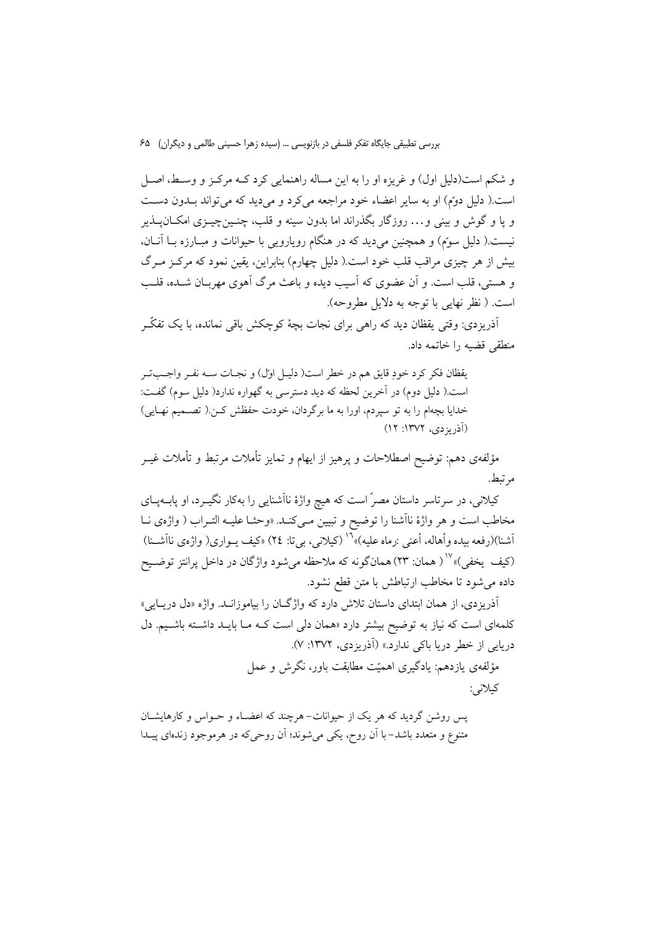و شکم است(دلیل اول) و غریزه او را به این مساله راهنمایی کرد کـه مرکـز و وسـط، اصـل است.( دلیل دومّ) او به سایر اعضاء خود مراجعه می کرد و می دید که می تواند بیدون دست و یا و گوش و بینی و… روزگار بگذراند اما بدون سینه و قلب، چنـینچیـزی امکــانLیـذیر نیست.( دلیل سوّم) و همچنین میدید که در هنگام رویارویی با حیوانات و مبـارزه بــا آنــان، بیش از هر چیزی مراقب قلب خود است.( دلیل چهارم) بنابراین، یقین نمود که مرکـز مـرگ و هستی، قلب است. و اَن عضوی که اَسیب دیده و باعث مرگ اَهوی مهربـان شــده، قلــب است. (نظر نهایی با توجه به دلایل مطروحه).

اَذریزدی: وقتی یقظان دید که راهی برای نجات بچهٔ کوچکش باقی نمانده، با یک تفکّر منطقی قضیه را خاتمه داد.

يقظان فكر كرد خودِ قايق هم در خطر است( دليـل اول) و نجـات سـه نفـر واجـبتـر است.( دلیل دوم) در آخرین لحظه که دید دسترسی به گهواره ندارد( دلیل سوم) گفت: خدایا بچهام را به تو سپردم، اورا به ما برگردان، خودت حفظش کـن.( تصـمیم نهـایی) (آذریزدی)، ۱۳۷۲: ۱۲)

مؤلفهى دهم: توضيح اصطلاحات و يرهيز از ايهام و تمايز تأملات مرتبط و تأملات غيــر مرتبط.

کیلانی، در سرتاسر داستان مصرٌ است که هیچ واژهٔ ناآشنایی را بهکار نگیـرد، او یابــهیــای مخاطب است و هر واژهٔ نااًشنا را توضیح و تبیین مـیکنـد. «وحثـا علیـه التـراب ( واژهی نــا آشنا)(رفعه بيده وأهاله، أعني :رماه عليه)» `` (كيلاني، بي تا: ٢٤) «كيف يــواري( وإژهي ناآشــنا) (کيف يخفي)» `` ( همان: ٢٣) همانگونه که ملاحظه مي شود واژگان در داخل پرانتز توضـيح داده میشود تا مخاطب ارتباطش با متن قطع نشود.

آذریزدی، از همان ابتدای داستان تلاش دارد که واژگـان را بیاموزانـد. واژه «دل دریـایی» کلمهای است که نیاز به توضیح بیشتر دارد «همان دل<sub>ی</sub> است کـه مـا بایـد داشـته باشـیم. دل دریایی از خطر دریا باکی ندارد.» (آذریزدی، ۱۳۷۲: ۷).

> مؤلفهي يازدهم: يادگيري اهميّت مطابقت باور، نگرش و عمل كيلانى:

یس روشن گردید که هر یک از حیوانات- هرچند که اعضـاء و حـواس و کارهایشــان متنوع و متعدد باشد–با آن روح، یکی می شوند؛ آن روحیکه در هرموجود زندهای پیـدا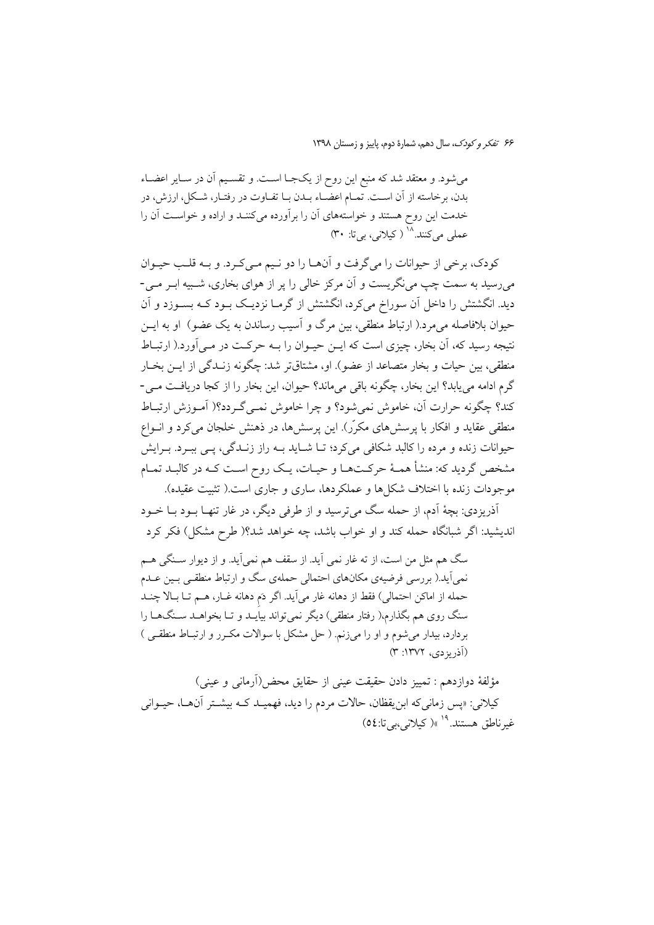می شود. و معتقد شد که منبع این روح از یکجـا اسـت. و تقسـیم آن در سـایر اعضـاء بدن، برخاسته از آن اسـت. تمـام اعضـاء بـدن بـا تفـاوت در رفتـار، شـكل، ارزش، در خدمت این روح هستند و خواستههای آن را برآورده میکننـد و اراده و خواسـت آن را عملي مي کنند. `` ( کيلاني، بي تا: ٣٠)

كودك، برخي از حيوانات را مي گرفت و آنهــا را دو نــيم مــي كــرد. و بــه قلــب حيــوان می رسید به سمت چپ می نگریست و آن مرکز خالی را پر از هوای بخاری، شـبیه ابـر مـی-دید. انگشتش را داخل آن سوراخ می کرد، انگشتش از گرمـا نزدیـک بـود کـه بسـوزد و آن حیوان بلافاصله می۵٫د.( ارتباط منطقی، بین مرگ و آسیب رساندن به یک عضو) او به ایــن نتیجه رسید که، آن بخار، چیزی است که ایــن حیــوان را بــه حرکــت در مــی آورد.( ارتبــاط منطقی، بین حیات و بخار متصاعد از عضو). او، مشتاقتر شد: چگونه زنــدگی از ایــن بخــار گرم ادامه می پابد؟ این بخار، چگونه باقی میماند؟ حیوان، این بخار را از کجا دریافت مـی-کند؟ چگونه حرارت آن، خاموش نمی شود؟ و چرا خاموش نمبی گـردد؟( آمـوزش ارتبـاط منطقی عقاید و افکار با پرسش های مکرّر). این پرسش ها، در ذهنش خلجان می کرد و انــواع حیوانات زنده و مرده را کالبد شکافی میکرد؛ تـا شـاید بـه راز زنـدگی، پـی ببـرد. بـرایش مشخص گردید که: منشأ همـهٔ حرکـتهـا و حیـات، یـک روح اسـت کـه در کالبـد تمـام موجودات زنده با اختلاف شکلها و عملکردها، ساری و جاری است.( تثبیت عقیده).

اَذریزدی: بچهٔ اَدم، از حمله سگ میترسید و از طرفی دیگر، در غار تنهـا بــود بــا خــود اندیشید: اگر شبانگاه حمله کند و او خواب باشد، چه خواهد شد؟( طرح مشکل) فکر کرد

سگ هم مثل من است، از ته غار نمی آید. از سقف هم نمیآید. و از دیوار سـنگی هــم نمی آید.( بررسی فرضیهی مکانهای احتمالی حملهی سگ و ارتباط منطقـی بـین عــدم حمله از اماكن احتمالي) فقط از دهانه غار مي آيد. اگر دَم دهانه غـار، هـم تـا بـالا چنـد سنگ روی هم بگذارم،( رفتار منطقی) دیگر نمی تواند بیایـد و تـا بخواهـد سـنگهـا را بردارد، بیدار میشوم و او را میزنم. ( حل مشکل با سوالات مکـرر و ارتبـاط منطقـی )  $(T : 1TVY, c_2)$  (آذر بزدی)

مؤلفهٔ دوازدهم : تمییز دادن حقیقت عینی از حقایق محض(آرمانی و عینی) کیلانی: «پس زمانی که ابن یقظان، حالات مردم را دید، فهمیـد کــه بیشــتر آنهــا، حیــوانی غير ناطق هستند.<sup>14</sup> »(كيلاني،پي تا:٥٤)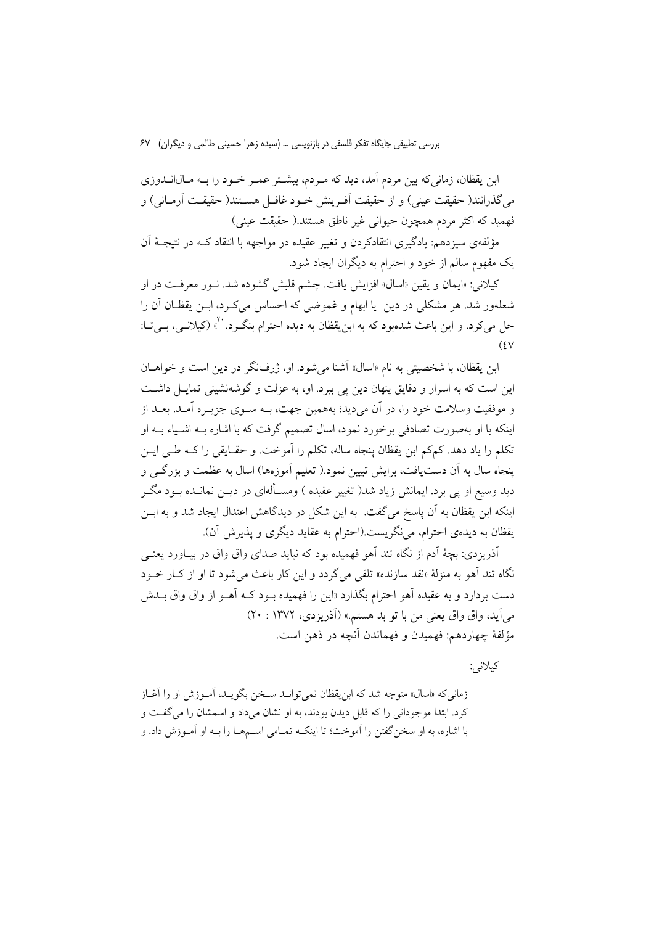ابن يقظان، زماني كه بين مردم آمد، ديد كه مـردم، بيشــتر عمـر خــود را بــه مــال|نــدوزي مي گذرانند( حقيقت عيني) و از حقيقت آفـرينش خــود غافــل هســتند( حقيقــت آرمــاني) و فهميد كه اكثر مردم همچون حيواني غير ناطق هستند.( حقيقت عيني)

مؤلفهی سیزدهم: یادگیری انتقادکردن و تغییر عقیده در مواجهه با انتقاد کــه در نتیجــهٔ اَن یک مفهوم سالم از خود و احترام به دیگران ایجاد شود.

کيلاني: «ايمان و يقين «اسال» افزايش يافت. چشم قلبش گشوده شد. نــور معرفــت در او شعلهور شد. هر مشکلی در دین یا ابهام و غموضی که احساس میکـرد، ابـن یقظـان آن را حل مي كرد. و اين باعث شدهبود كه به ابن يقظان به ديده احترام بنگـرد. ``» (كيلانـي، بـي تــا:  $(5V)$ 

ابن يقظان، با شخصيتي به نام «اسال» آشنا مي شود. او، ژرفنگر در دين است و خواهـان این است که به اسرار و دقایق پنهان دین پی ببرد. او، به عزلت و گوشهنشینی تمایـل داشــت و موفقیت وسلامت خود را، در آن میدید؛ بههمین جهت، بــه ســوی جزیــره آمــد. بعــد از اینکه با او بهصورت تصادفی برخورد نمود، اسال تصمیم گرفت که با اشاره بــه اشــیاء بــه او تكلم را ياد دهد. كمكم ابن يقظان ينجاه ساله، تكلم را آموخت. و حقـايقى را كــه طــى ايــن ينجاه سال به آن دست یافت، برايش تبيين نمود.( تعليم آموزهها) اسال به عظمت و بزرگــي و دید وسیع او پی برد. ایمانش زیاد شد( تغییر عقیده ) ومسـألهای در دیــن نمانــده بــود مگــر اینکه ابن یقظان به آن پاسخ میگفت. به این شکل در دیدگاهش اعتدال ایجاد شد و به ابـن يقظان به ديدهي احترام، مي نگريست.(احترام به عقايد ديگري و پذيرش آن).

آذریزدی: بچهٔ آدم از نگاه تند آهو فهمیده بود که نباید صدای واق واق در بیـاورد یعنـی نگاه تند اَهو به منزلهٔ «نقد سازنده» تلقی میگردد و این کار باعث می شود تا او از کـار خـود دست بردارد و به عقیده آهو احترام بگذارد «این را فهمیده سود کـه آهــو از واق واق سدش مي آيد، واق واق يعني من با تو بد هستم.» (آذريزدي، ١٣٧٢ : ٢٠) مؤلفهٔ چهاردهم: فهمیدن و فهماندن آنچه در ذهن است.

کيلانې:

زماني كه «اسال» متوجه شد كه ابن يقظان نمي توانيد سيخن بگوييد، آميوزش او را آغياز کرد. ابتدا موجوداتی را که قابل دیدن بودند، به او نشان میداد و اسمشان را می گفت و با اشاره، به او سخن گفتن را آموخت؛ تا اینکـه تمـامی اسـمهـا را بـه او آمـوزش داد. و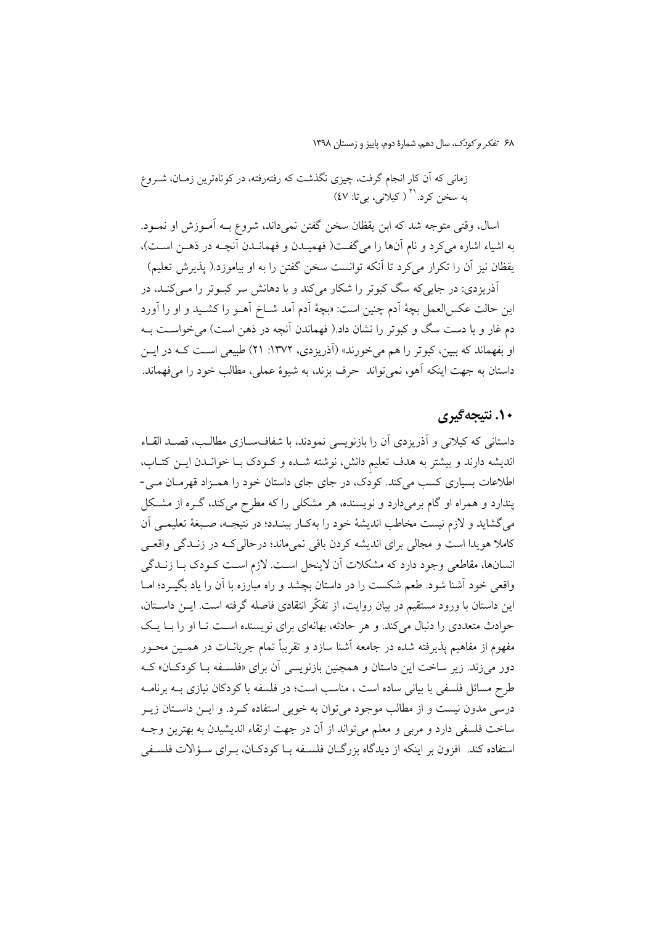زمانی که آن کار انجام گرفت، چیزی نگذشت که رفتهرفته، در کوتاهترین زمـان، شـروع به سخن کرد.<sup>۲۱</sup> (کیلانی، بی تا: ٤٧)

اسال، وقتی متوجه شد که ابن یقظان سخن گفتن نمیداند، شروع بـه آمـوزش او نمـود. به اشياء اشاره مي كرد و نام آنها را مي گفت( فهميـدن و فهمانـدن آنچــه در ذهــن اسـت)، يقظان نيز أن را تكرار ميكرد تا أنكه توانست سخن گفتن را به او بياموزد.( يذيرش تعليم)

۔<br>اَذریزدی: در جایے که سگ کبوتر را شکار می کند و با دهانش سر کبـوتر را مــی کنــد، در اين حالت عكس|لعمل بچهٔ أدم چنين است: «بچهٔ أدم أمد شــاخ أهــو را كشــيد و او را أورد دم غار و با دست سگ و کبوتر را نشان داد.( فهماندن آنچه در ذهن است) می خواسـت بـه او بفهماند که ببین، کبوتر را هم می خورند» (آذریزدی، ۱۳۷۲: ۲۱) طبیعی است کـه در ایــن داستان به جهت اينكه آهو، نمي تواند حرف بزند، به شيوهٔ عملي، مطالب خود را مي فهماند.

## ۱۰. نتیجهگیری

داستانی که کیلانی و آذریزدی آن را بازنویسی نمودند، با شفافسازی مطالب، قصـد القـاء اندیشه دارند و بیشتر به هدف تعلیم دانش، نوشته شـده و کـودک بـا خوانـدن ایـن کتـاب، اطلاعات بسیاری کسب میکند. کودک، در جای جای داستان خود را همــزاد قهرمــان مــی-پندارد و همراه او گام برمیدارد و نویسنده، هر مشکلی را که مطرح میکند، گـره از مشـکل مي گشايد و لازم نيست مخاطب انديشهٔ خود را بهكـار ببنــدد؛ در نتيجــه، صـبغهٔ تعليمــي اَن کاملا هویدا است و مجالی برای اندیشه کردن باقی نمیماند؛ درحالی کـه در زنـدگی واقعـی انسانها، مقاطعي وجود دارد كه مشكلات أن لاينحل است. لازم است كـودك بـا زنــدگي واقعی خود آشنا شود. طعم شکست را در داستان بچشد و راه مبارزه با آن را یاد بگیـرد؛ امــا این داستان با ورود مستقیم در بیان روایت، از تفکّر انتقادی فاصله گرفته است. ایــن داســتان، حوادث متعددی را دنبال میکند. و هر حادثه، بهانهای برای نویسنده است تـا او را بــا یــک مفهوم از مفاهیم پذیرفته شده در جامعه آشنا سازد و تقریباً تمام جریانــات در همــین محــور دور مي زند. زير ساخت اين داستان و همچنين بازنويسي آن براي «فلسيفه بــا كودكــان» كــه طرح مسائل فلسفی با بیانی ساده است ، مناسب است؛ در فلسفه با کودکان نیازی بــه برنامــه درسی مدون نیست و از مطالب موجود می توان به خوبی استفاده کـرد. و ایــن داسـتان زیــر ساخت فلسفی دارد و مربی و معلم می تواند از آن در جهت ارتقاء اندیشیدن به بهترین وجـه استفاده کند. افزون بر اینکه از دیدگاه بزرگـان فلسـفه بـا کودکـان، بـرای سـؤالات فلسـفی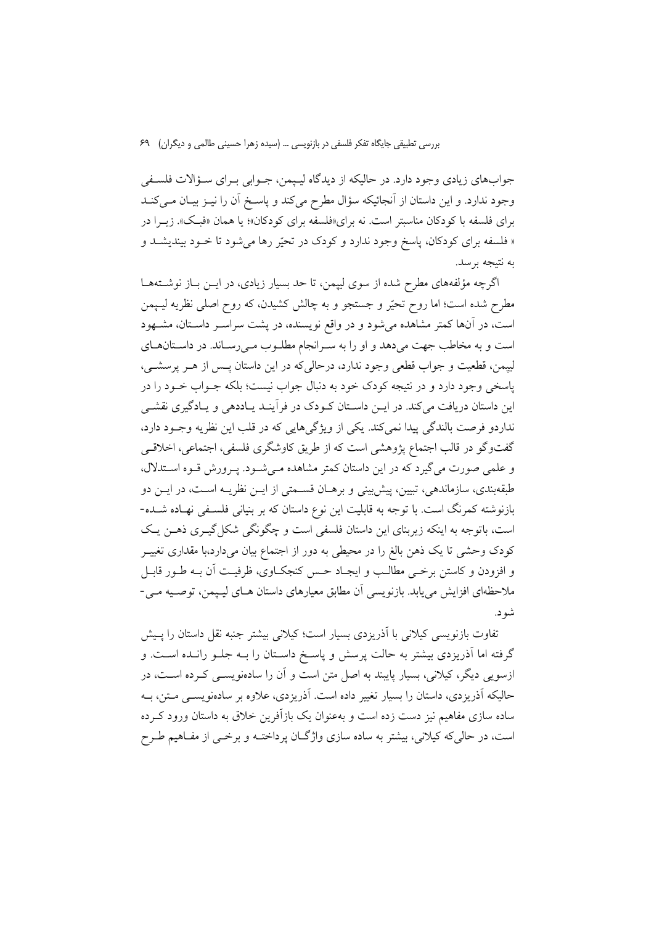جوابهاي زيادي وجود دارد. در حاليكه از ديدگاه ليـيمن، جـوابي بـراي سـؤالات فلسـفي وجود ندارد. و این داستان از آنجائیکه سؤال مطرح میکند و پاسخ آن را نیـز بیـان مـیکنـد برای فلسفه با کودکان مناسبتر است. نه برای«فلسفه برای کودکان»؛ یا همان «فبک». زیــرا در « فلسفه برای کودکان، پاسخ وجود ندارد و کودک در تحیّر رها میشود تا خــود بیندیشــد و به نتيجه بوسد.

اگرچه مؤلفههای مطرح شده از سوی لییمن، تا حد بسیار زیادی، در ایــن بــاز نوشــتههــا مطرح شده است؛ اما روح تحیّر و جستجو و به چالش کشیدن، که روح اصلی نظریه لیـپمن است، در آنها کمتر مشاهده می شود و در واقع نویسنده، در پشت سراسـر داسـتان، مشـهود است و به مخاطب جهت می دهد و او را به سـرانجام مطلـوب مـی رسـاند. در داسـتانهـای لییمن، قطعیت و جواب قطعی وجود ندارد، درحالی که در این داستان پـس از هـر پرسشــی، پاسخی وجود دارد و در نتیجه کودک خود به دنبال جواب نیست؛ بلکه جـواب خـود را در این داستان دریافت می کند. در ایــن داســتان کــودک در فرآینــد یــاددهی و یــادگیری نقشــی نداردو فرصت بالندگي پيدا نمي كند. يكي از ويژگيهايي كه در قلب اين نظريه وجـود دارد، گفتوگو در قالب اجتماع پژوهشی است که از طریق کاوشگری فلسفی، اجتماعی، اخلاقـی و علمی صورت می گیرد که در این داستان کمتر مشاهده میشود. پرورش قـوه اسـتدلال، طبقهبندی، سازماندهی، تبیین، پیش بینی و برهـان قسـمتی از ایــن نظریــه اسـت، در ایــن دو بازنوشته کمرنگ است. با توجه به قابلیت این نوع داستان که بر بنیانی فلسـفی نهـاده شـده-است، باتوجه به اینکه زیربنای این داستان فلسفی است و چگونگی شکل گیـری ذهـن یـک کودک وحشی تا یک ذهن بالغ را در محیطی به دور از اجتماع بیان می دارد،با مقداری تغییــر و افزودن و كاستن برخبي مطالب و ايجـاد حـس كنجكـاوي، ظرفيـت أن بــه طـور قابــل ملاحظهای افزایش می یابد. بازنویسی آن مطابق معیارهای داستان هــای لیـیمن، توصـیه مــی-شه د.

تفاوت بازنویسی کیلانی با آذریزدی بسیار است؛ کیلانی بیشتر جنبه نقل داستان را پـیش گرفته اما آذریزدی بیشتر به حالت پرسش و پاسخ داسـتان را بــه جلــو رانــده اســت. و ازسویی دیگر، کیلانی، بسیار پایبند به اصل متن است و آن را سادهنویســی کــرده اســت، در حاليكه آذريزدي، داستان را بسيار تغيير داده است. آذريزدي، علاوه بر سادهنويســي مــتن، بــه ساده سازی مفاهیم نیز دست زده است و بهعنوان یک بازآفرین خلاق به داستان ورود کـرده است، در حالی که کیلانی، بیشتر به ساده سازی واژگـان پرداختـه و برخــی از مفــاهیم طــرح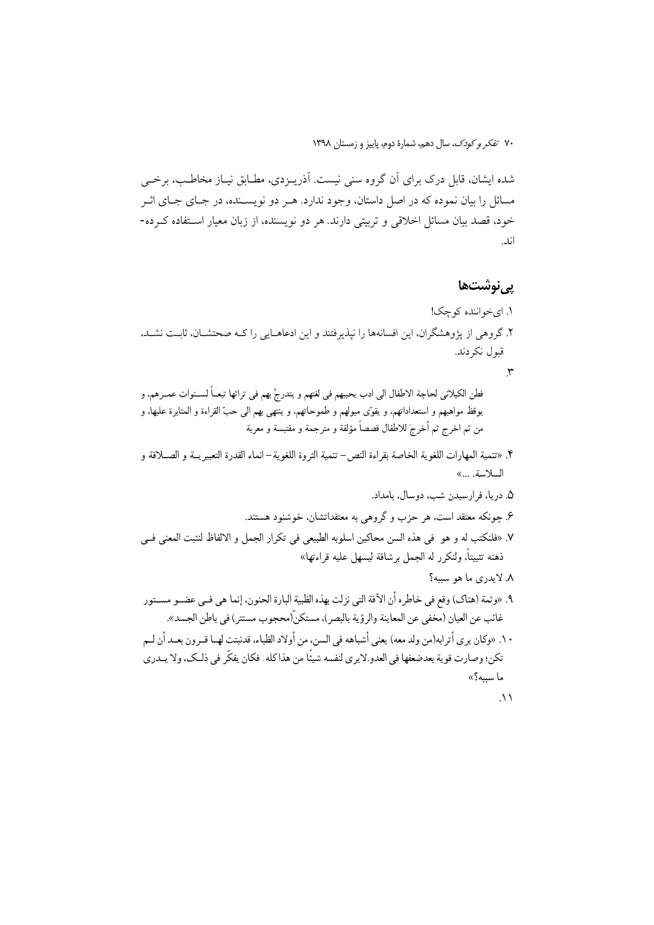شده ایشان، قابل درک برای آن گروه سنی نیست. آذریـزدی، مطـابق نیـاز مخاطـب، برخــی مسائل را بیان نموده که در اصل داستان، وجود ندارد. هـر دو نویســنده، در جــای جــای اثــر خود، قصد بیان مسائل اخلاقی و تربیتی دارند. هر دو نویسنده، از زبان معیار استفاده کرده-اند.

## یےنوشتھا

١. ای خواننده کو چک! ٢. گروهي از يژوهشگران، اين افسانهها را نيذيرفتند و اين ادعاهـايي را كـه صحتشــان، ثابـت نشــد، قبول نكردند.

 $\mathsf{r}$ 

فطن الكيلاني لحاجة الاطفال الى ادب يحببهم في لغتهم و يتدرجُ بهم في تراثها تبعــاً لســنوات عمــرهم، و يوقظ مواهبهم و استعداداتهم، و يقوّى ميولهم و طموحاتهم، و ينتهى بهم الى حبّ القراءة و المثابرة عليها، و من ثم اخرج ثم أخرجَ للاطفال قصصاً مؤلفة و مترجمة و مقتبسة و معربة

- ۴. «تنمية المهارات اللغوية الخاصة بقراءة النص- تنمية الثروة اللغوية- انماء القدرة التعبيريــة و الصــلاقة و السلاسة. ...»
	- ۵. دریا، فرارسیدن شب، دوسال، بامداد.
	- ۶. چونکه معتقد است، هر حزب و گروهی به معتقداتشان، خوشنود هستند.
- y. «فلنكتب له و هو في هذه السن محاكين اسلوبه الطبيعي في تكرار الجمل و الالفاظ لنثبت المعنى فــي ذهنه تثبيتاً، ولنكرر له الجمل برشاقة ليسهل عليه قراءتها»

٨. لايدري ما هو سببه؟

- ٩. «وثمة (هناك) وقع في خاطره أن الآفة التي نزلت بهذه الظبية البارة الحنون، إنما هي فــي عضــو مســتور غائب عن العيان (مخفى عن المعاينة والرؤية بالبصر)، مستكنِّ(محجوب مستتر) في باطن الجسد». ١٠. «وكان يرى أترابه(من ولد معه) يعني أشباهه في السن، من أولاد الظباء، قدنبتت لهـا قـرون بعــد أن لــم تكن؛ وصارت قوية بعدضعفها في العدو.لاير ي لنفسه شيئًا من هذاكله. فكان يفكِّر في ذلـك، ولا يــدري ما سببه؟»
	- $\Lambda$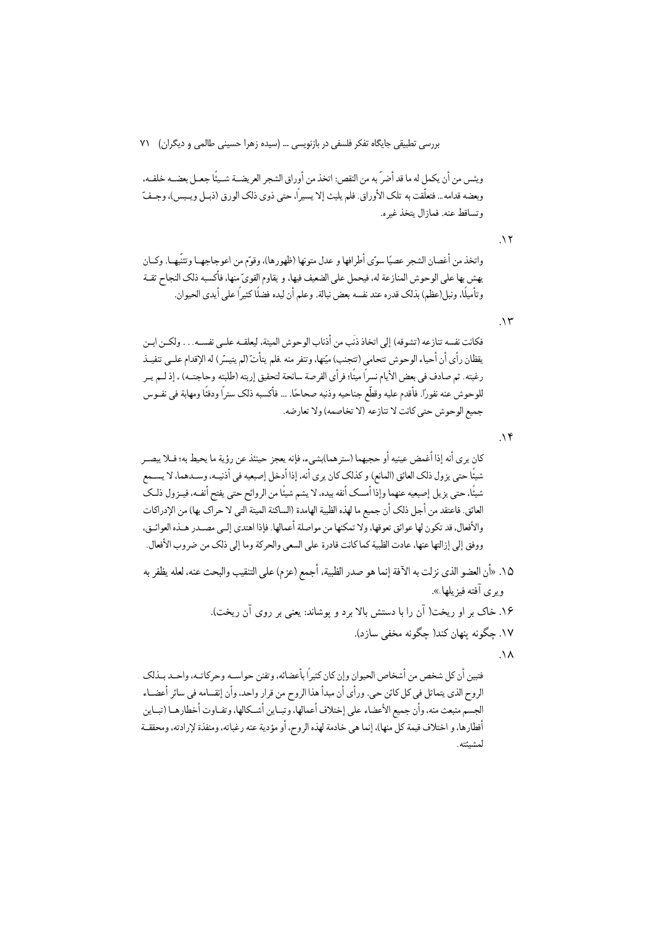ويئس من أن يكمل له ما قد أضر َّ به من النقص: اتخذ من أوراق الشجر العريضــة شــيئًا جعـل بعضــه خلفــه، وبعضه قدامه… فتعلَّقت به تلك الأوراق. فلم يلبث إلا يسيراً، حتى ذوى ذلك الورق (ذبـل ويـبس)، وجـفَّ وتساقط عنه. فمازال يتخذ غيره.

 $.17$ 

واتخذ من أغصان الشجر عصيًا سوِّي أطرافها و عدل متونها (ظهورها)، وقوِّم من اعوجاجهـا وتتنِّيهـا. وكــان يهش بها على الوحوش المنازعة له، فيحمل على الضعيف فيها، و يقاوم القوىّ منها، فأكسبه ذلك النجاح ثقـة وتأميلًا، ونبل(عظم) بذلك قدره عند نفسه بعض نبالة. وعلم أن ليده فضلًا كثيرًا على أيدي الحيوان.

 $\Lambda$ 

فكانت نفسه تنازعه (تشوقه) إلى اتخاذ ذَنَبٍ من أذناب الوحوش الميتة، ليعلقــه علــى نفســه. . . ولكــن ابــن يقظان رأى أن أحياء الوحوش تتحامى (تتجنب) ميّتها، وتنفر منه .فلم يتأتّ (لم يتيسّر ) له الإقدام علــى تنفيــذ رغبته. ثم صادف في بعض الأيام نسرًا ميتًا؛ فرأى الفرصة سانحة لتحقيق إربته (طلبته وحاجتــه) ، إذ لــم يــر للوحوش عنه نفورًا. فأقدم عليه وقطِّع جناحيه وذنبه صحاحًا. ... فأكسبه ذلك ستراً ودفئًا ومهابة في نفـوس جميع الوحوش حتى كانت لا تنازعه (لا تخاصمه) ولا تعارضه.

 $.19$ 

- ١۵. «أن العضو الذي نزلت به الآفة إنما هو صدر الظبية، أجمع (عزم) على التنقيب والبحث عنه، لعله يظفر به ويري آفته فيزيلها.».
	- ۱۶. خاک بر او ریخت( آن را با دستش بالا برد و یوشاند: یعنی بر روی آن ریخت). ١٧. حگونه ىنهان كند( حگونه مخفى سازد).
		-

 $\Lambda$ 

فتبين أن كل شخص من أشخاص الحيوان وإن كان كثيراً بأعضائه، وتفنن حواسـه وحركاتـه، واحـد بـذلك الروح الذي يتماثل في كل كائن حي. ورأى أن مبدأ هذا الروح من قرار واحد، وأن إنقسامه في سائر أعضـاء الجسم منبعث منه، وأن جميع الأعضاء على إختلاف أعمالها، وتبـاين أشـكالها، وتفـاوت أخطارهـا (تبـاين أقطارها، و اختلاف قيمة كل منها)، إنما هي خادمة لهذه الروح، أو مؤدية عنه رغباته، ومنفذة لإرادته، ومحققــة لمشبثته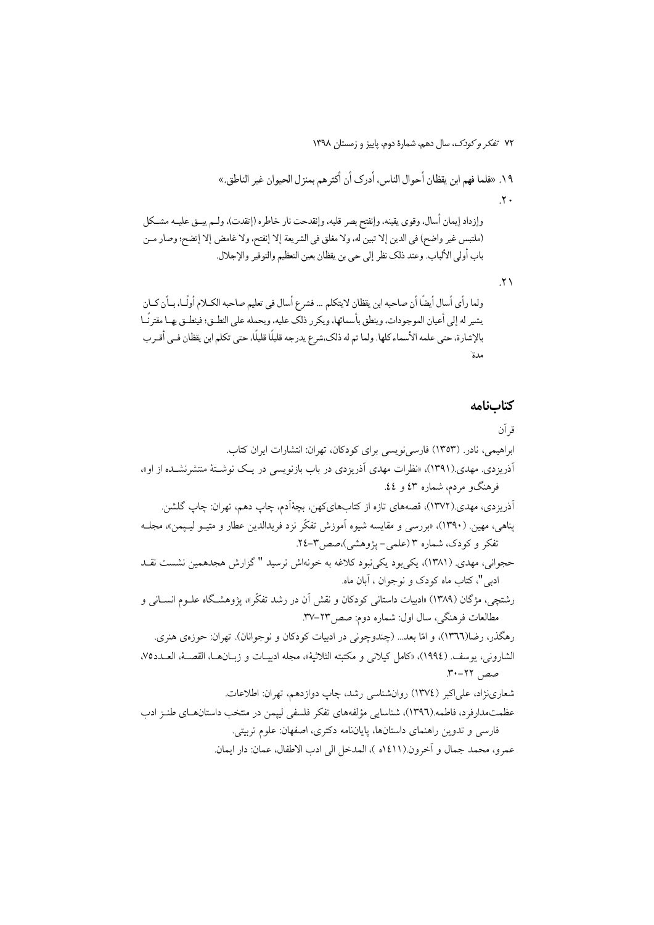١٩. «فلما فهم ابن يقظان أحوال الناس، أدرك أن أكثرهم بمنزل الحيوان غير الناطق.»

 $\mathcal{X}$ 

وإزداد إيمان أسال، وقوى يقينه، وإنفتح بصر قلبه، وإنقدحت نار خاطره (إتقدت)، ولـم يبــق عليــه مشــكل (ملتبس غير واضح) في الدين إلا تبين له، ولا مغلق في الشريعة إلا إنفتح، ولا غامض إلا إتضح؛ وصار مـن باب أولى الألباب. وعند ذلك نظر إلى حيى بن يقظان بعين التعظيم والتوقير والإجلال.

 $.7 \wedge$ 

#### كتابنامه

قر آن ابراهیمی، نادر. (۱۳۵۳) فارسی نویسی برای کودکان، تهران: انتشارات ایران کتاب. آذریزدی. مهدی.(۱۳۹۱)، «نظرات مهدی آذریزدی در باب بازنویسی در یک نوشـتهٔ منتشرنشـده از او»، فرهنگو مردم، شماره ٤٣ و ٤٤. آذریزدی، مهدی (۱۳۷۲)، قصههای تازه از کتابهایکهن، بچهٔآدم، چاپ دهم، تهران: چاپ گلشن. پناهی، مهین. (۱۳۹۰)، «بررسی و مقایسه شیوه آموزش تفکّر نزد فریدالدین عطار و متیــو لیـپمن»، مجلــه تفکر و کودک، شماره ۳ (علمی- یژوهشی)،صص۳-۲٤. حجواني، مهدي. (١٣٨١)، يكي يود يكي نبود كلاغه به خونهاش نرسيد " گزارش هجدهمين نشست نقــد ادبي"، كتاب ماه كودك و نوجوان ، آبان ماه. رشتچی، مژگان (۱۳۸۹) «ادبیات داستانی کودکان و نقش اَن در رشد تفکّر»، پژوهشـگاه علـوم انســانی و مطالعات فرهنگی، سال اول: شماره دوم: صص ٢٣–٣٧. رهگذر، رضا(١٣٦٦)، و امّا بعد... (چندوچونی در ادبیات کودکان و نوجوانان). تهران: حوزهی هنری. الشاروني، يوسف. (١٩٩٤)، «كامل كيلاني و مكتبته الثلاثية»، مجله ادبيــات و زبــان\مــا، القصــة، العـــدد٧٥، صص ٢٢-٣٠. شعاري نژاد، علي اكبر (١٣٧٤) روان شناسي رشد، چاپ دوازدهم، تهران: اطلاعات. عظمتمدارفرد، فاطمه.(١٣٩٦)، شناسايي مؤلفههاي تفكر فلسفى لييمن در منتخب داستانهاي طنـز ادب فارسی و تدوین راهنمای داستانها، پایاننامه دکتری، اصفهان: علوم تربیتی. عمرو، محمد جمال و آخرون.(۱٤١١ه )، المدخل الى ادب الاطفال، عمان: دار ايمان.